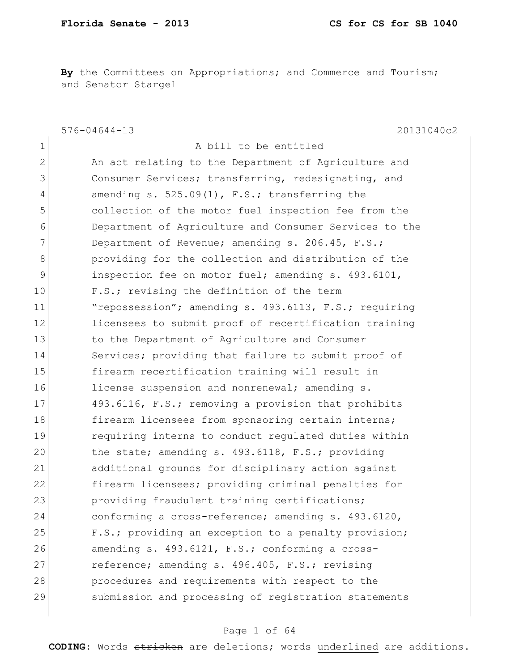**By** the Committees on Appropriations; and Commerce and Tourism; and Senator Stargel

576-04644-13 20131040c2 1 a bill to be entitled 2 An act relating to the Department of Agriculture and 3 Consumer Services; transferring, redesignating, and 4 amending s. 525.09(1), F.S.; transferring the 5 collection of the motor fuel inspection fee from the 6 Department of Agriculture and Consumer Services to the 7 Department of Revenue; amending s.  $206.45$ , F.S.; 8 **b** providing for the collection and distribution of the 9 1 inspection fee on motor fuel; amending s. 493.6101, 10 F.S.; revising the definition of the term 11 The repossession"; amending s. 493.6113, F.S.; requiring 12 licensees to submit proof of recertification training 13 to the Department of Agriculture and Consumer 14 Services; providing that failure to submit proof of 15 firearm recertification training will result in 16 license suspension and nonrenewal; amending s. 17 493.6116, F.S.; removing a provision that prohibits 18 firearm licensees from sponsoring certain interns; 19 requiring interns to conduct regulated duties within 20 the state; amending s. 493.6118, F.S.; providing 21 additional grounds for disciplinary action against 22 firearm licensees; providing criminal penalties for 23 providing fraudulent training certifications; 24 conforming a cross-reference; amending s. 493.6120, 25 F.S.; providing an exception to a penalty provision; 26 amending s. 493.6121, F.S.; conforming a cross-27 reference; amending s. 496.405, F.S.; revising 28 procedures and requirements with respect to the 29 submission and processing of registration statements

### Page 1 of 64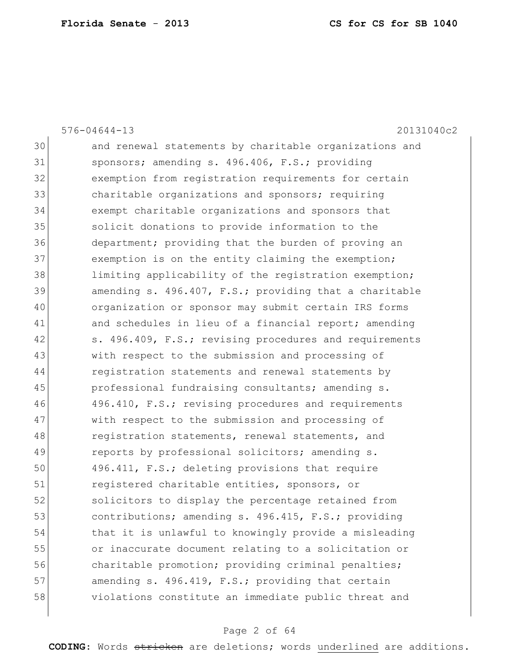|    | 20131040c2<br>$576 - 04644 - 13$                       |
|----|--------------------------------------------------------|
| 30 | and renewal statements by charitable organizations and |
| 31 | sponsors; amending s. 496.406, F.S.; providing         |
| 32 | exemption from registration requirements for certain   |
| 33 | charitable organizations and sponsors; requiring       |
| 34 | exempt charitable organizations and sponsors that      |
| 35 | solicit donations to provide information to the        |
| 36 | department; providing that the burden of proving an    |
| 37 | exemption is on the entity claiming the exemption;     |
| 38 | limiting applicability of the registration exemption;  |
| 39 | amending s. 496.407, F.S.; providing that a charitable |
| 40 | organization or sponsor may submit certain IRS forms   |
| 41 | and schedules in lieu of a financial report; amending  |
| 42 | s. 496.409, F.S.; revising procedures and requirements |
| 43 | with respect to the submission and processing of       |
| 44 | registration statements and renewal statements by      |
| 45 | professional fundraising consultants; amending s.      |
| 46 | 496.410, F.S.; revising procedures and requirements    |
| 47 | with respect to the submission and processing of       |
| 48 | registration statements, renewal statements, and       |
| 49 | reports by professional solicitors; amending s.        |
| 50 | 496.411, F.S.; deleting provisions that require        |
| 51 | registered charitable entities, sponsors, or           |
| 52 | solicitors to display the percentage retained from     |
| 53 | contributions; amending s. 496.415, F.S.; providing    |
| 54 | that it is unlawful to knowingly provide a misleading  |
| 55 | or inaccurate document relating to a solicitation or   |
| 56 | charitable promotion; providing criminal penalties;    |
| 57 | amending s. 496.419, F.S.; providing that certain      |
| 58 | violations constitute an immediate public threat and   |
|    |                                                        |

# Page 2 of 64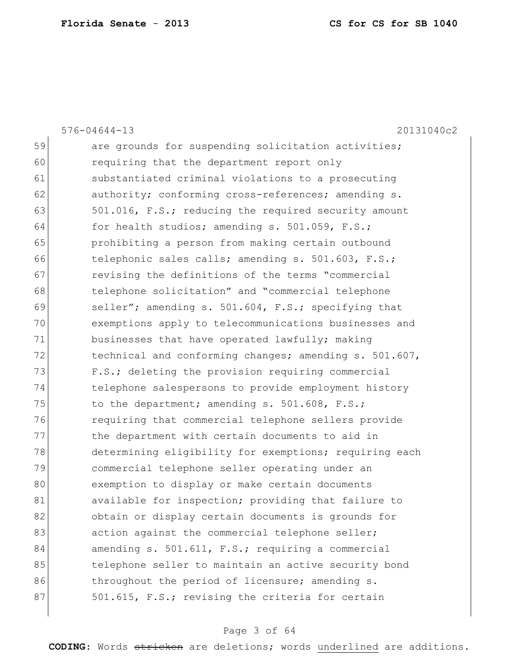|    | $576 - 04644 - 13$<br>20131040c2                       |
|----|--------------------------------------------------------|
| 59 | are grounds for suspending solicitation activities;    |
| 60 | requiring that the department report only              |
| 61 | substantiated criminal violations to a prosecuting     |
| 62 | authority; conforming cross-references; amending s.    |
| 63 | 501.016, F.S.; reducing the required security amount   |
| 64 | for health studios; amending s. 501.059, F.S.;         |
| 65 | prohibiting a person from making certain outbound      |
| 66 | telephonic sales calls; amending s. 501.603, F.S.;     |
| 67 | revising the definitions of the terms "commercial      |
| 68 | telephone solicitation" and "commercial telephone      |
| 69 | seller"; amending s. 501.604, F.S.; specifying that    |
| 70 | exemptions apply to telecommunications businesses and  |
| 71 | businesses that have operated lawfully; making         |
| 72 | technical and conforming changes; amending s. 501.607, |
| 73 | F.S.; deleting the provision requiring commercial      |
| 74 | telephone salespersons to provide employment history   |
| 75 | to the department; amending s. 501.608, F.S.;          |
| 76 | requiring that commercial telephone sellers provide    |
| 77 | the department with certain documents to aid in        |
| 78 | determining eligibility for exemptions; requiring each |
| 79 | commercial telephone seller operating under an         |
| 80 | exemption to display or make certain documents         |
| 81 | available for inspection; providing that failure to    |
| 82 | obtain or display certain documents is grounds for     |
| 83 | action against the commercial telephone seller;        |
| 84 | amending s. 501.611, F.S.; requiring a commercial      |
| 85 | telephone seller to maintain an active security bond   |
| 86 | throughout the period of licensure; amending s.        |
| 87 | 501.615, F.S.; revising the criteria for certain       |
|    |                                                        |

# Page 3 of 64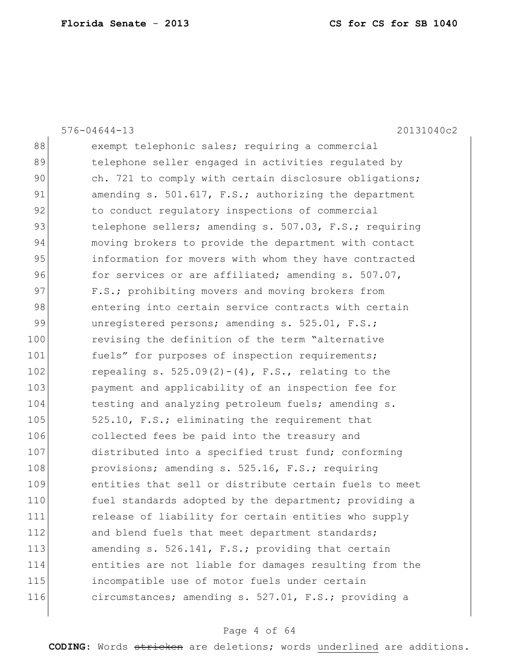576-04644-13 20131040c2 88 exempt telephonic sales; requiring a commercial 89 telephone seller engaged in activities regulated by 90 ch. 721 to comply with certain disclosure obligations; 91 amending s. 501.617, F.S.; authorizing the department 92 to conduct regulatory inspections of commercial 93 telephone sellers; amending s. 507.03, F.S.; requiring 94 moving brokers to provide the department with contact 95 information for movers with whom they have contracted 96 for services or are affiliated; amending s. 507.07, 97 F.S.; prohibiting movers and moving brokers from 98 entering into certain service contracts with certain 99 unregistered persons; amending s. 525.01, F.S.; 100 revising the definition of the term "alternative 101 fuels" for purposes of inspection requirements; 102 repealing s.  $525.09(2)-(4)$ , F.S., relating to the 103 **payment and applicability of an inspection fee for** 104 testing and analyzing petroleum fuels; amending s. 105 525.10, F.S.; eliminating the requirement that 106 collected fees be paid into the treasury and 107 distributed into a specified trust fund; conforming 108 provisions; amending s. 525.16, F.S.; requiring 109 entities that sell or distribute certain fuels to meet 110 fuel standards adopted by the department; providing a 111 release of liability for certain entities who supply 112 and blend fuels that meet department standards; 113 amending s. 526.141, F.S.; providing that certain 114 entities are not liable for damages resulting from the 115 incompatible use of motor fuels under certain 116 circumstances; amending s. 527.01, F.S.; providing a

### Page 4 of 64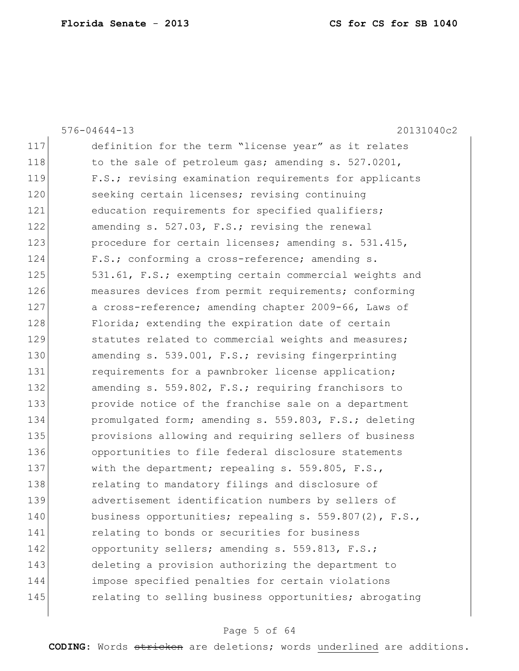|     | 20131040c2<br>$576 - 04644 - 13$                       |
|-----|--------------------------------------------------------|
| 117 | definition for the term "license year" as it relates   |
| 118 | to the sale of petroleum gas; amending s. 527.0201,    |
| 119 | F.S.; revising examination requirements for applicants |
| 120 | seeking certain licenses; revising continuing          |
| 121 | education requirements for specified qualifiers;       |
| 122 | amending s. 527.03, F.S.; revising the renewal         |
| 123 | procedure for certain licenses; amending s. 531.415,   |
| 124 | F.S.; conforming a cross-reference; amending s.        |
| 125 | 531.61, F.S.; exempting certain commercial weights and |
| 126 | measures devices from permit requirements; conforming  |
| 127 | a cross-reference; amending chapter 2009-66, Laws of   |
| 128 | Florida; extending the expiration date of certain      |
| 129 | statutes related to commercial weights and measures;   |
| 130 | amending s. 539.001, F.S.; revising fingerprinting     |
| 131 | requirements for a pawnbroker license application;     |
| 132 | amending s. 559.802, F.S.; requiring franchisors to    |
| 133 | provide notice of the franchise sale on a department   |
| 134 | promulgated form; amending s. 559.803, F.S.; deleting  |
| 135 | provisions allowing and requiring sellers of business  |
| 136 | opportunities to file federal disclosure statements    |
| 137 | with the department; repealing s. 559.805, F.S.,       |
| 138 | relating to mandatory filings and disclosure of        |
| 139 | advertisement identification numbers by sellers of     |
| 140 | business opportunities; repealing s. 559.807(2), F.S., |
| 141 | relating to bonds or securities for business           |
| 142 | opportunity sellers; amending s. 559.813, F.S.;        |
| 143 | deleting a provision authorizing the department to     |
| 144 | impose specified penalties for certain violations      |
| 145 | relating to selling business opportunities; abrogating |
|     |                                                        |

# Page 5 of 64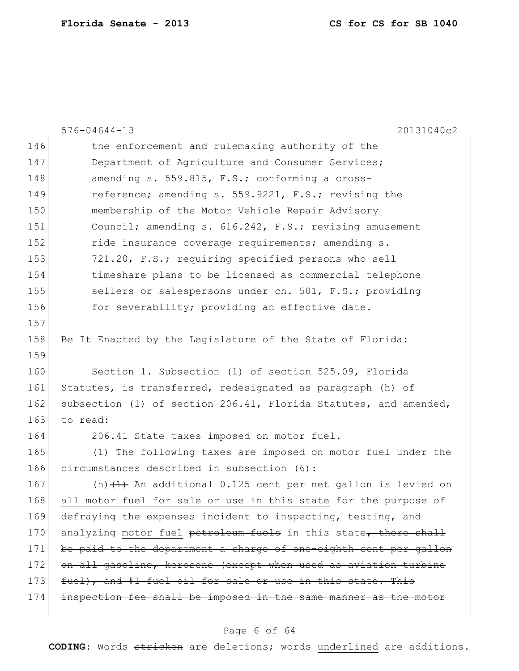|     | $576 - 04644 - 13$<br>20131040c2                                 |
|-----|------------------------------------------------------------------|
| 146 | the enforcement and rulemaking authority of the                  |
| 147 | Department of Agriculture and Consumer Services;                 |
| 148 | amending s. 559.815, F.S.; conforming a cross-                   |
| 149 | reference; amending s. 559.9221, F.S.; revising the              |
| 150 | membership of the Motor Vehicle Repair Advisory                  |
| 151 | Council; amending s. 616.242, F.S.; revising amusement           |
| 152 | ride insurance coverage requirements; amending s.                |
| 153 | 721.20, F.S.; requiring specified persons who sell               |
| 154 | timeshare plans to be licensed as commercial telephone           |
| 155 | sellers or salespersons under ch. 501, F.S.; providing           |
| 156 | for severability; providing an effective date.                   |
| 157 |                                                                  |
| 158 | Be It Enacted by the Legislature of the State of Florida:        |
| 159 |                                                                  |
| 160 | Section 1. Subsection (1) of section 525.09, Florida             |
| 161 | Statutes, is transferred, redesignated as paragraph (h) of       |
| 162 | subsection (1) of section 206.41, Florida Statutes, and amended, |
| 163 | to read:                                                         |
| 164 | 206.41 State taxes imposed on motor fuel.-                       |
| 165 | (1) The following taxes are imposed on motor fuel under the      |
| 166 | circumstances described in subsection (6):                       |
| 167 | (h) $(1)$ An additional 0.125 cent per net gallon is levied on   |
| 168 | all motor fuel for sale or use in this state for the purpose of  |
| 169 | defraying the expenses incident to inspecting, testing, and      |
| 170 | analyzing motor fuel petroleum fuels in this state, there shall  |
| 171 | be paid to the department a charge of one-eighth cent per gallon |
| 172 | on all gasoline, kerosene (except when used as aviation turbine  |
| 173 | fuel), and #1 fuel oil for sale or use in this state. This       |
| 174 | inspection fee shall be imposed in the same manner as the motor  |
|     |                                                                  |

# Page 6 of 64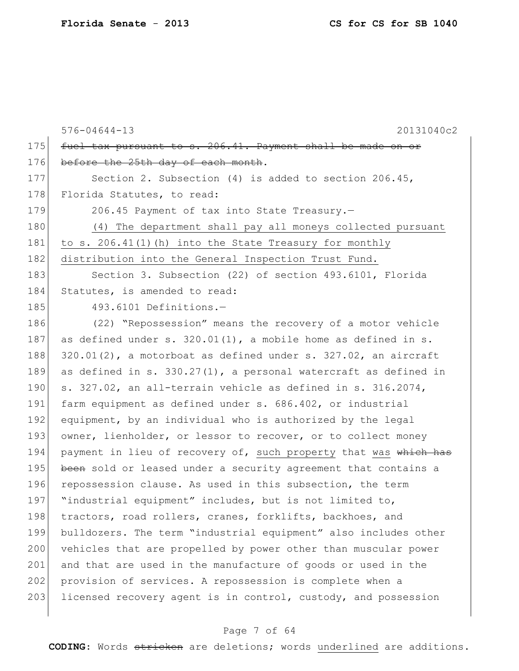|     | 20131040c2<br>$576 - 04644 - 13$                                     |
|-----|----------------------------------------------------------------------|
| 175 | fuel tax pursuant to s. 206.41. Payment shall be made on or          |
| 176 | before the 25th day of each month.                                   |
| 177 | Section 2. Subsection $(4)$ is added to section 206.45,              |
| 178 | Florida Statutes, to read:                                           |
| 179 | 206.45 Payment of tax into State Treasury.-                          |
| 180 | (4) The department shall pay all moneys collected pursuant           |
| 181 | to s. $206.41(1)$ (h) into the State Treasury for monthly            |
| 182 | distribution into the General Inspection Trust Fund.                 |
| 183 | Section 3. Subsection (22) of section 493.6101, Florida              |
| 184 | Statutes, is amended to read:                                        |
| 185 | 493.6101 Definitions.-                                               |
| 186 | (22) "Repossession" means the recovery of a motor vehicle            |
| 187 | as defined under s. $320.01(1)$ , a mobile home as defined in s.     |
| 188 | $320.01(2)$ , a motorboat as defined under s. $327.02$ , an aircraft |
| 189 | as defined in s. $330.27(1)$ , a personal watercraft as defined in   |
| 190 | s. 327.02, an all-terrain vehicle as defined in s. 316.2074,         |
| 191 | farm equipment as defined under s. 686.402, or industrial            |
| 192 | equipment, by an individual who is authorized by the legal           |
| 193 | owner, lienholder, or lessor to recover, or to collect money         |
| 194 | payment in lieu of recovery of, such property that was which has     |
| 195 | been sold or leased under a security agreement that contains a       |
| 196 | repossession clause. As used in this subsection, the term            |
| 197 | "industrial equipment" includes, but is not limited to,              |
| 198 | tractors, road rollers, cranes, forklifts, backhoes, and             |
| 199 | bulldozers. The term "industrial equipment" also includes other      |
| 200 | vehicles that are propelled by power other than muscular power       |
| 201 | and that are used in the manufacture of goods or used in the         |
| 202 | provision of services. A repossession is complete when a             |
| 203 | licensed recovery agent is in control, custody, and possession       |
|     |                                                                      |

# Page 7 of 64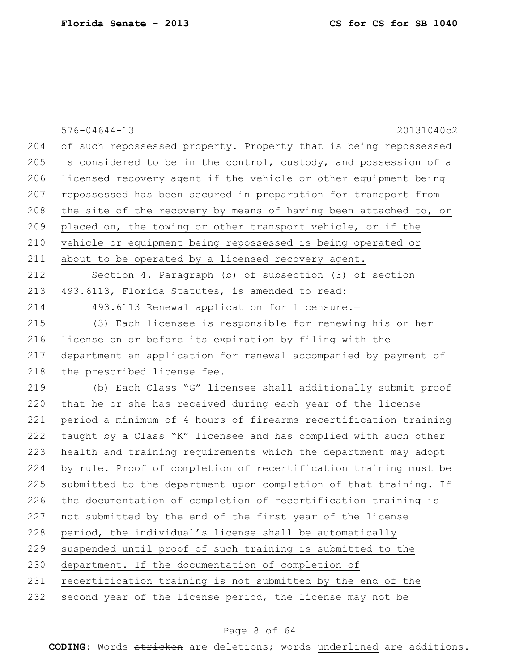576-04644-13 20131040c2 204 of such repossessed property. Property that is being repossessed 205 is considered to be in the control, custody, and possession of a 206 licensed recovery agent if the vehicle or other equipment being 207 repossessed has been secured in preparation for transport from 208 the site of the recovery by means of having been attached to, or 209 placed on, the towing or other transport vehicle, or if the 210 vehicle or equipment being repossessed is being operated or 211 about to be operated by a licensed recovery agent. 212 Section 4. Paragraph (b) of subsection (3) of section 213 493.6113, Florida Statutes, is amended to read: 214 493.6113 Renewal application for licensure.-215 (3) Each licensee is responsible for renewing his or her 216 license on or before its expiration by filing with the 217 department an application for renewal accompanied by payment of 218 the prescribed license fee. 219 (b) Each Class "G" licensee shall additionally submit proof 220 that he or she has received during each year of the license 221 period a minimum of 4 hours of firearms recertification training 222 taught by a Class "K" licensee and has complied with such other 223 health and training requirements which the department may adopt 224 by rule. Proof of completion of recertification training must be 225 submitted to the department upon completion of that training. If 226 the documentation of completion of recertification training is 227 not submitted by the end of the first year of the license 228 period, the individual's license shall be automatically 229 suspended until proof of such training is submitted to the 230 department. If the documentation of completion of 231 recertification training is not submitted by the end of the 232 second year of the license period, the license may not be

### Page 8 of 64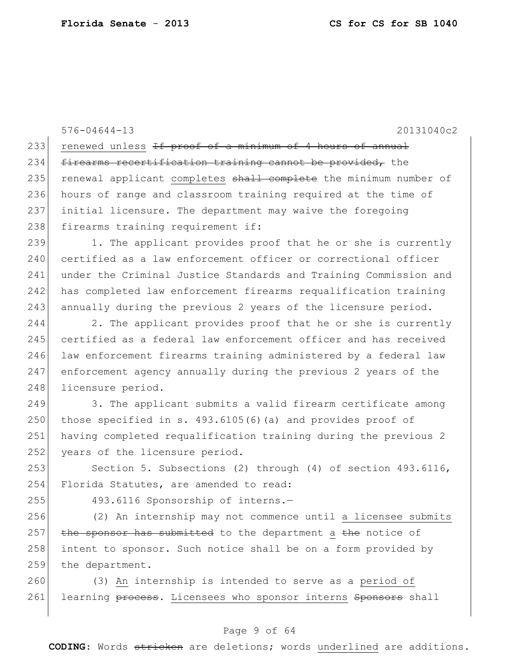576-04644-13 20131040c2 233 renewed unless If proof of a minimum of 4 hours of annual 234 firearms recertification training cannot be provided, the 235 renewal applicant completes shall complete the minimum number of 236 hours of range and classroom training required at the time of 237 initial licensure. The department may waive the foregoing 238 firearms training requirement if:  $239$  1. The applicant provides proof that he or she is currently 240 certified as a law enforcement officer or correctional officer 241 under the Criminal Justice Standards and Training Commission and 242 has completed law enforcement firearms requalification training  $243$  annually during the previous 2 years of the licensure period. 244 2. The applicant provides proof that he or she is currently 245 certified as a federal law enforcement officer and has received 246 law enforcement firearms training administered by a federal law 247 enforcement agency annually during the previous 2 years of the 248 licensure period.

249 3. The applicant submits a valid firearm certificate among 250 those specified in s.  $493.6105(6)$  (a) and provides proof of 251 having completed requalification training during the previous 2 252 years of the licensure period.

253 Section 5. Subsections (2) through (4) of section 493.6116, 254 Florida Statutes, are amended to read:

 $255$  493.6116 Sponsorship of interns.-

 (2) An internship may not commence until a licensee submits the sponsor has submitted to the department a the notice of intent to sponsor. Such notice shall be on a form provided by 259 the department.

260 (3) An internship is intended to serve as a period of 261 learning process. Licensees who sponsor interns Sponsors shall

### Page 9 of 64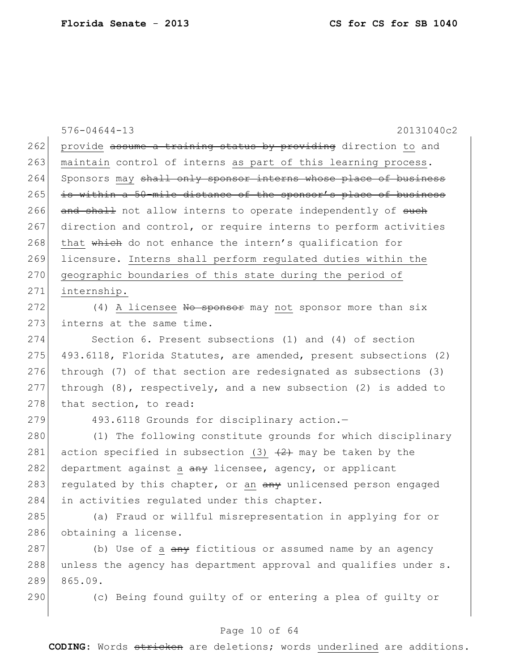|     | $576 - 04644 - 13$<br>20131040c2                                     |
|-----|----------------------------------------------------------------------|
| 262 | provide assume a training status by providing direction to and       |
| 263 | maintain control of interns as part of this learning process.        |
| 264 | Sponsors may shall only sponsor interns whose place of business      |
| 265 | is within a 50-mile distance of the sponsor's place of business      |
| 266 | and shall not allow interns to operate independently of such         |
| 267 | direction and control, or require interns to perform activities      |
| 268 | that which do not enhance the intern's qualification for             |
| 269 | licensure. Interns shall perform regulated duties within the         |
| 270 | geographic boundaries of this state during the period of             |
| 271 | internship.                                                          |
| 272 | (4) A licensee No sponsor may not sponsor more than six              |
| 273 | interns at the same time.                                            |
| 274 | Section 6. Present subsections (1) and (4) of section                |
| 275 | 493.6118, Florida Statutes, are amended, present subsections (2)     |
| 276 | through (7) of that section are redesignated as subsections (3)      |
| 277 | through $(8)$ , respectively, and a new subsection $(2)$ is added to |
| 278 | that section, to read:                                               |
| 279 | 493.6118 Grounds for disciplinary action.-                           |
| 280 | (1) The following constitute grounds for which disciplinary          |
| 281 | action specified in subsection (3) $(2)$ may be taken by the         |
| 282 | department against a any licensee, agency, or applicant              |
| 283 | regulated by this chapter, or an any unlicensed person engaged       |
| 284 | in activities regulated under this chapter.                          |
| 285 | (a) Fraud or willful misrepresentation in applying for or            |
| 286 | obtaining a license.                                                 |
| 287 | (b) Use of a any fictitious or assumed name by an agency             |
| 288 | unless the agency has department approval and qualifies under s.     |
| 289 | 865.09.                                                              |
| 290 | (c) Being found quilty of or entering a plea of quilty or            |

# Page 10 of 64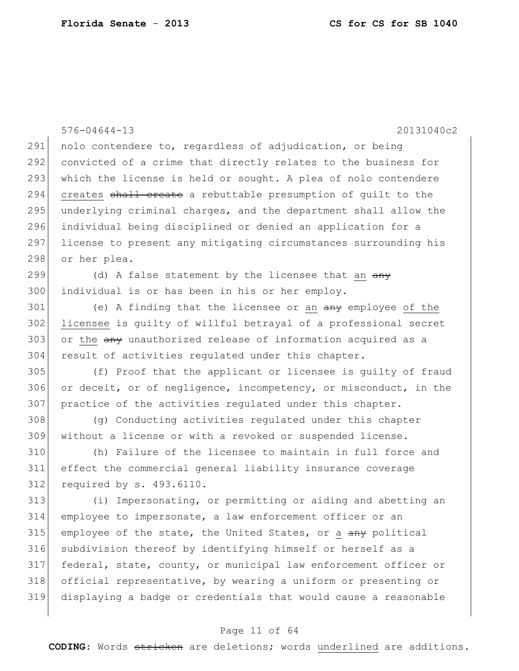576-04644-13 20131040c2 291 nolo contendere to, regardless of adjudication, or being convicted of a crime that directly relates to the business for which the license is held or sought. A plea of nolo contendere 294 creates shall create a rebuttable presumption of guilt to the 295 underlying criminal charges, and the department shall allow the individual being disciplined or denied an application for a license to present any mitigating circumstances surrounding his 298 or her plea. 299 (d) A false statement by the licensee that an  $\frac{any}{x}$  individual is or has been in his or her employ. 301 (e) A finding that the licensee or an  $\frac{a_n}{b_n}$  employee of the licensee is guilty of willful betrayal of a professional secret 303 or the any unauthorized release of information acquired as a result of activities regulated under this chapter. (f) Proof that the applicant or licensee is guilty of fraud or deceit, or of negligence, incompetency, or misconduct, in the practice of the activities regulated under this chapter. (g) Conducting activities regulated under this chapter without a license or with a revoked or suspended license. (h) Failure of the licensee to maintain in full force and effect the commercial general liability insurance coverage required by s. 493.6110. (i) Impersonating, or permitting or aiding and abetting an employee to impersonate, a law enforcement officer or an employee of the state, the United States, or a  $\frac{any}{and}$  political subdivision thereof by identifying himself or herself as a federal, state, county, or municipal law enforcement officer or official representative, by wearing a uniform or presenting or displaying a badge or credentials that would cause a reasonable

### Page 11 of 64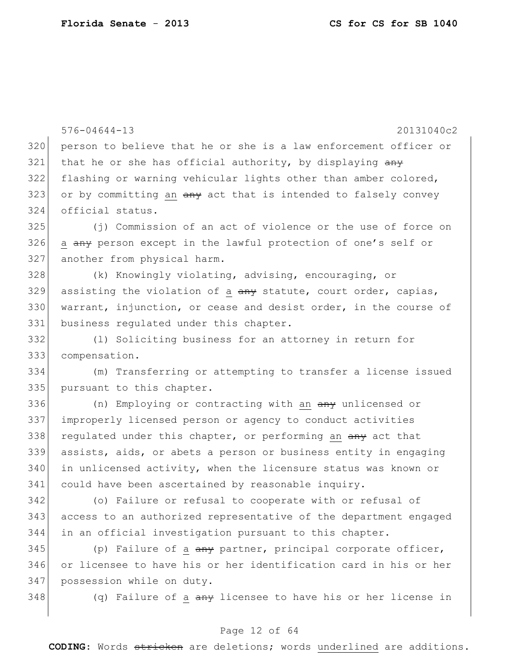|     | $576 - 04644 - 13$<br>20131040c2                                         |
|-----|--------------------------------------------------------------------------|
| 320 | person to believe that he or she is a law enforcement officer or         |
| 321 | that he or she has official authority, by displaying any                 |
| 322 | flashing or warning vehicular lights other than amber colored,           |
| 323 | or by committing an any act that is intended to falsely convey           |
| 324 | official status.                                                         |
| 325 | (j) Commission of an act of violence or the use of force on              |
| 326 | a any person except in the lawful protection of one's self or            |
| 327 | another from physical harm.                                              |
| 328 | (k) Knowingly violating, advising, encouraging, or                       |
| 329 | assisting the violation of a any statute, court order, capias,           |
| 330 | warrant, injunction, or cease and desist order, in the course of         |
| 331 | business regulated under this chapter.                                   |
| 332 | (1) Soliciting business for an attorney in return for                    |
| 333 | compensation.                                                            |
| 334 | (m) Transferring or attempting to transfer a license issued              |
| 335 | pursuant to this chapter.                                                |
| 336 | (n) Employing or contracting with an any unlicensed or                   |
| 337 | improperly licensed person or agency to conduct activities               |
| 338 | regulated under this chapter, or performing an any act that              |
| 339 | assists, aids, or abets a person or business entity in engaging          |
| 340 | in unlicensed activity, when the licensure status was known or           |
| 341 | could have been ascertained by reasonable inquiry.                       |
| 342 | (o) Failure or refusal to cooperate with or refusal of                   |
| 343 | access to an authorized representative of the department engaged         |
| 344 | in an official investigation pursuant to this chapter.                   |
| 345 | (p) Failure of a $\frac{any}{any}$ partner, principal corporate officer, |
| 346 | or licensee to have his or her identification card in his or her         |
| 347 | possession while on duty.                                                |
| 348 | (q) Failure of a any licensee to have his or her license in              |
|     |                                                                          |

# Page 12 of 64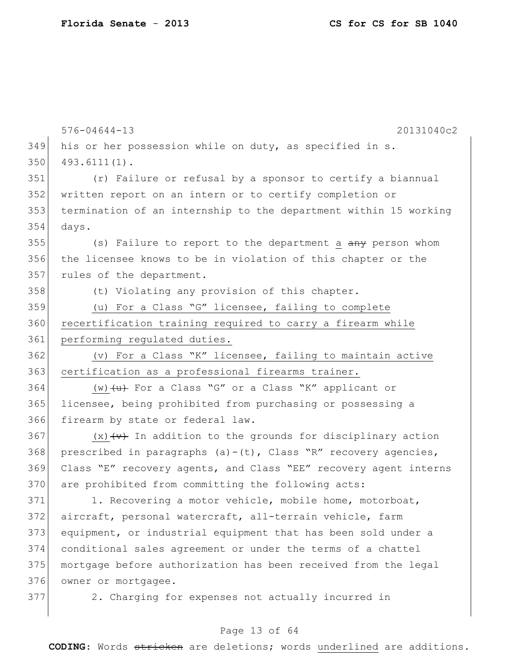|     | $576 - 04644 - 13$<br>20131040c2                                          |
|-----|---------------------------------------------------------------------------|
| 349 | his or her possession while on duty, as specified in s.                   |
| 350 | $493.6111(1)$ .                                                           |
| 351 | (r) Failure or refusal by a sponsor to certify a biannual                 |
| 352 | written report on an intern or to certify completion or                   |
| 353 | termination of an internship to the department within 15 working          |
| 354 | days.                                                                     |
| 355 | (s) Failure to report to the department a any person whom                 |
| 356 | the licensee knows to be in violation of this chapter or the              |
| 357 | rules of the department.                                                  |
| 358 | (t) Violating any provision of this chapter.                              |
| 359 | (u) For a Class "G" licensee, failing to complete                         |
| 360 | recertification training required to carry a firearm while                |
| 361 | performing regulated duties.                                              |
| 362 | (v) For a Class "K" licensee, failing to maintain active                  |
| 363 | certification as a professional firearms trainer.                         |
| 364 | (w) $\left\{\upmu\right\}$ For a Class "G" or a Class "K" applicant or    |
| 365 | licensee, being prohibited from purchasing or possessing a                |
| 366 | firearm by state or federal law.                                          |
| 367 | $(x)$ $\overline{(+)}$ In addition to the grounds for disciplinary action |
| 368 | prescribed in paragraphs $(a) - (t)$ , Class "R" recovery agencies,       |
| 369 | Class "E" recovery agents, and Class "EE" recovery agent interns          |
| 370 | are prohibited from committing the following acts:                        |
| 371 | 1. Recovering a motor vehicle, mobile home, motorboat,                    |
| 372 | aircraft, personal watercraft, all-terrain vehicle, farm                  |
| 373 | equipment, or industrial equipment that has been sold under a             |
| 374 | conditional sales agreement or under the terms of a chattel               |
| 375 | mortgage before authorization has been received from the legal            |
| 376 | owner or mortgagee.                                                       |
| 377 | 2. Charging for expenses not actually incurred in                         |

Page 13 of 64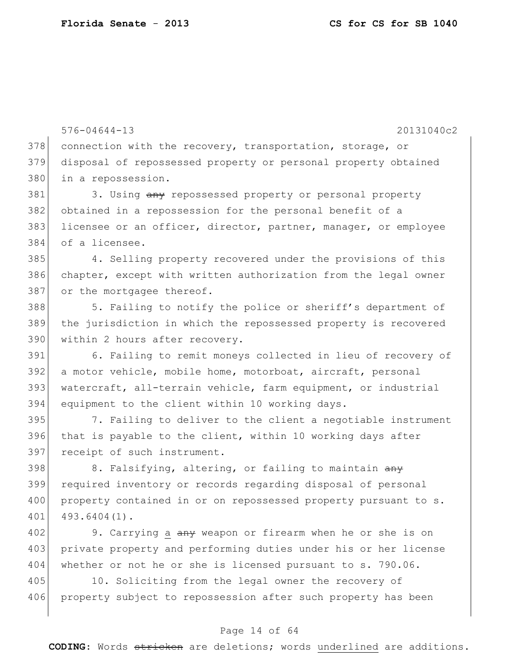576-04644-13 20131040c2 378 connection with the recovery, transportation, storage, or 379 disposal of repossessed property or personal property obtained 380 in a repossession. 381 3. Using any repossessed property or personal property 382 obtained in a repossession for the personal benefit of a 383 licensee or an officer, director, partner, manager, or employee 384 of a licensee. 385 4. Selling property recovered under the provisions of this 386 chapter, except with written authorization from the legal owner 387 or the mortgagee thereof. 388 5. Failing to notify the police or sheriff's department of 389 the jurisdiction in which the repossessed property is recovered 390 within 2 hours after recovery. 391 6. Failing to remit moneys collected in lieu of recovery of 392 a motor vehicle, mobile home, motorboat, aircraft, personal 393 watercraft, all-terrain vehicle, farm equipment, or industrial 394 equipment to the client within 10 working days. 395 7. Failing to deliver to the client a negotiable instrument  $396$  that is payable to the client, within 10 working days after 397 receipt of such instrument. 398 8. Falsifying, altering, or failing to maintain  $\frac{a}{a}$ 399 required inventory or records regarding disposal of personal 400 property contained in or on repossessed property pursuant to s. 401 493.6404(1). 402 9. Carrying a any weapon or firearm when he or she is on 403 private property and performing duties under his or her license 404 whether or not he or she is licensed pursuant to s. 790.06. 405 10. Soliciting from the legal owner the recovery of 406 property subject to repossession after such property has been

#### Page 14 of 64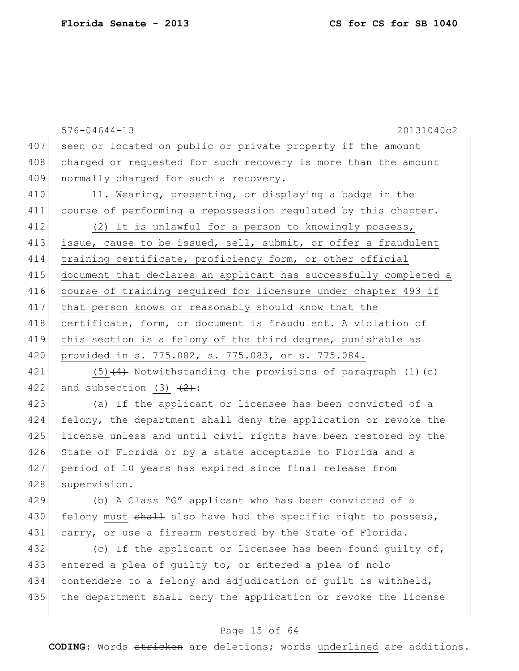|     | 20131040c2<br>$576 - 04644 - 13$                                 |
|-----|------------------------------------------------------------------|
| 407 | seen or located on public or private property if the amount      |
| 408 | charged or requested for such recovery is more than the amount   |
| 409 | normally charged for such a recovery.                            |
| 410 | 11. Wearing, presenting, or displaying a badge in the            |
| 411 | course of performing a repossession regulated by this chapter.   |
| 412 | (2) It is unlawful for a person to knowingly possess,            |
| 413 | issue, cause to be issued, sell, submit, or offer a fraudulent   |
| 414 | training certificate, proficiency form, or other official        |
| 415 | document that declares an applicant has successfully completed a |
| 416 | course of training required for licensure under chapter 493 if   |
| 417 | that person knows or reasonably should know that the             |
| 418 | certificate, form, or document is fraudulent. A violation of     |
| 419 | this section is a felony of the third degree, punishable as      |
| 420 | provided in s. 775.082, s. 775.083, or s. 775.084.               |
| 421 | $(5)$ $(4)$ Notwithstanding the provisions of paragraph (1)(c)   |
| 422 | and subsection (3) $\frac{2}{2}$ :                               |
| 423 | (a) If the applicant or licensee has been convicted of a         |
| 424 | felony, the department shall deny the application or revoke the  |
| 425 | license unless and until civil rights have been restored by the  |
| 426 | State of Florida or by a state acceptable to Florida and a       |
| 427 | period of 10 years has expired since final release from          |
| 428 | supervision.                                                     |
| 429 | (b) A Class "G" applicant who has been convicted of a            |
| 430 | felony must shall also have had the specific right to possess,   |
| 431 | carry, or use a firearm restored by the State of Florida.        |
| 432 | (c) If the applicant or licensee has been found quilty of,       |
| 433 | entered a plea of guilty to, or entered a plea of nolo           |
| 434 | contendere to a felony and adjudication of guilt is withheld,    |
| 435 | the department shall deny the application or revoke the license  |
|     |                                                                  |

# Page 15 of 64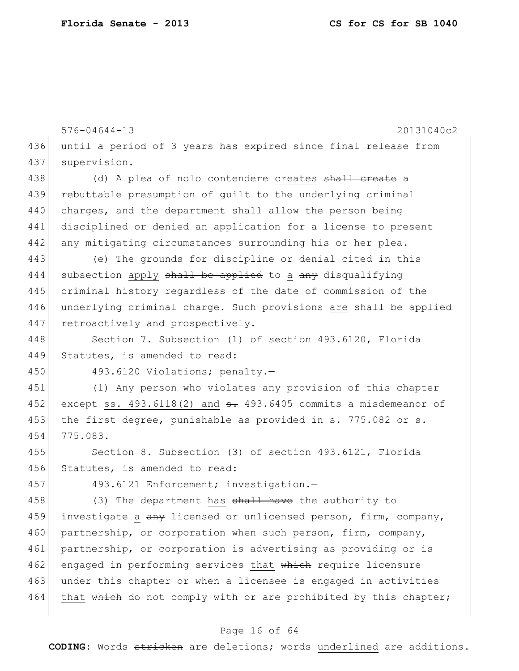576-04644-13 20131040c2 436 until a period of 3 years has expired since final release from 437 supervision. 438 (d) A plea of nolo contendere creates <del>shall create</del> a 439 rebuttable presumption of guilt to the underlying criminal 440 charges, and the department shall allow the person being 441 disciplined or denied an application for a license to present 442 any mitigating circumstances surrounding his or her plea. 443 (e) The grounds for discipline or denial cited in this 444 subsection apply shall be applied to a any disqualifying 445 criminal history regardless of the date of commission of the 446 underlying criminal charge. Such provisions are shall be applied 447 retroactively and prospectively. 448 Section 7. Subsection (1) of section 493.6120, Florida 449 Statutes, is amended to read: 450 493.6120 Violations; penalty.-451 (1) Any person who violates any provision of this chapter 452 except ss.  $493.6118(2)$  and  $\text{e}$ . 493.6405 commits a misdemeanor of 453 the first degree, punishable as provided in s. 775.082 or s. 454 775.083. 455 Section 8. Subsection (3) of section 493.6121, Florida 456 Statutes, is amended to read: 457 493.6121 Enforcement; investigation.-458 (3) The department has shall have the authority to 459 investigate a any licensed or unlicensed person, firm, company, 460 partnership, or corporation when such person, firm, company, 461 partnership, or corporation is advertising as providing or is 462 engaged in performing services that which require licensure 463 under this chapter or when a licensee is engaged in activities 464 that which do not comply with or are prohibited by this chapter;

#### Page 16 of 64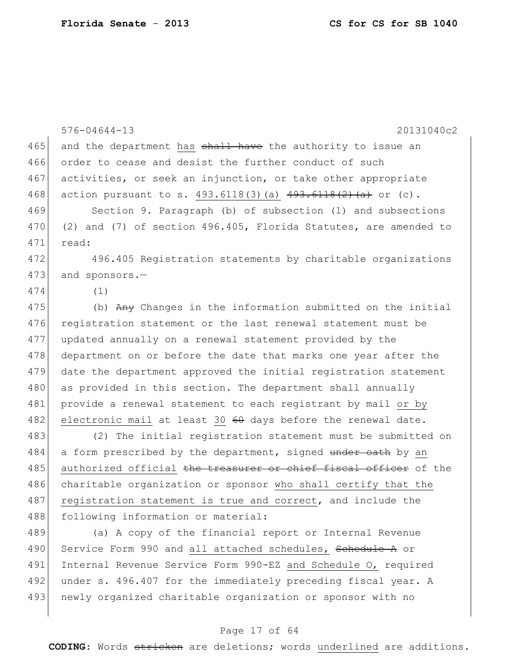|     | $576 - 04644 - 13$<br>20131040c2                                  |
|-----|-------------------------------------------------------------------|
| 465 | and the department has shall have the authority to issue an       |
| 466 | order to cease and desist the further conduct of such             |
| 467 | activities, or seek an injunction, or take other appropriate      |
| 468 | action pursuant to s. $493.6118(3)$ (a) $493.6118(2)$ (a) or (c). |
| 469 | Section 9. Paragraph (b) of subsection (1) and subsections        |
| 470 | (2) and (7) of section 496.405, Florida Statutes, are amended to  |
| 471 | read:                                                             |
| 472 | 496.405 Registration statements by charitable organizations       |
| 473 | and sponsors.-                                                    |
| 474 | (1)                                                               |
| 475 | (b) Any Changes in the information submitted on the initial       |
| 476 | registration statement or the last renewal statement must be      |
| 477 | updated annually on a renewal statement provided by the           |
| 478 | department on or before the date that marks one year after the    |
| 479 | date the department approved the initial registration statement   |
| 480 | as provided in this section. The department shall annually        |
| 481 | provide a renewal statement to each registrant by mail or by      |
| 482 | electronic mail at least 30 60 days before the renewal date.      |
| 483 | (2) The initial registration statement must be submitted on       |
| 484 | a form prescribed by the department, signed under oath by an      |
| 485 | authorized official the treasurer or chief fiscal officer of the  |
| 486 | charitable organization or sponsor who shall certify that the     |
| 487 | registration statement is true and correct, and include the       |
| 488 | following information or material:                                |
| 489 | (a) A copy of the financial report or Internal Revenue            |
| 490 | Service Form 990 and all attached schedules, Schedule A or        |
| 491 | Internal Revenue Service Form 990-EZ and Schedule O, required     |

492 under s. 496.407 for the immediately preceding fiscal year. A 493 newly organized charitable organization or sponsor with no

### Page 17 of 64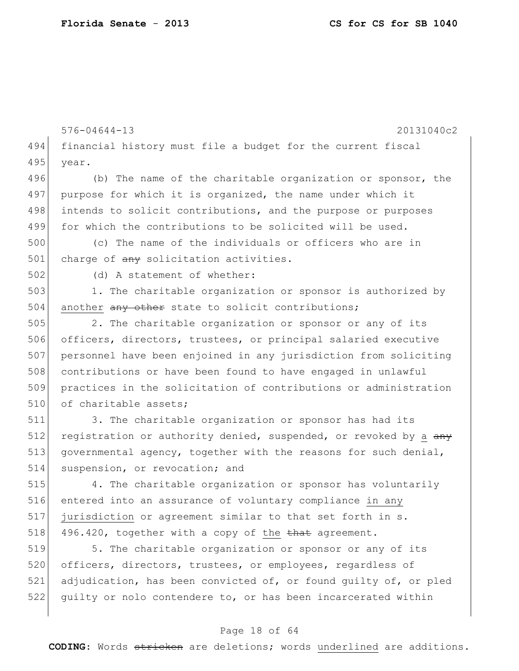```
576-04644-13 20131040c2
494 financial history must file a budget for the current fiscal
495 year.
496 (b) The name of the charitable organization or sponsor, the
497 purpose for which it is organized, the name under which it
498 intends to solicit contributions, and the purpose or purposes
499 for which the contributions to be solicited will be used.
500 (c) The name of the individuals or officers who are in 
501 charge of \frac{any}{any} solicitation activities.
502 (d) A statement of whether:
503 1. The charitable organization or sponsor is authorized by 
504 another \frac{any - other}{axis} state to solicit contributions;
505 2. The charitable organization or sponsor or any of its
506 officers, directors, trustees, or principal salaried executive 
507 personnel have been enjoined in any jurisdiction from soliciting 
508 contributions or have been found to have engaged in unlawful 
509 practices in the solicitation of contributions or administration 
510 of charitable assets;
511 3. The charitable organization or sponsor has had its
512 registration or authority denied, suspended, or revoked by a \frac{any}{x}513 governmental agency, together with the reasons for such denial,
514 suspension, or revocation; and
515 4. The charitable organization or sponsor has voluntarily
516 entered into an assurance of voluntary compliance in any 
517 jurisdiction or agreement similar to that set forth in s.
518 496.420, together with a copy of the that agreement.
519 5. The charitable organization or sponsor or any of its
520 officers, directors, trustees, or employees, regardless of
521 adjudication, has been convicted of, or found guilty of, or pled 
522 guilty or nolo contendere to, or has been incarcerated within
```
### Page 18 of 64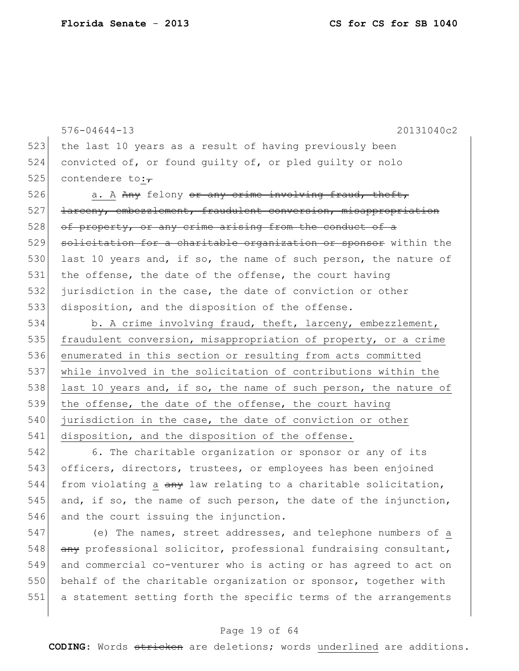576-04644-13 20131040c2 523 the last 10 years as a result of having previously been 524 convicted of, or found guilty of, or pled guilty or nolo 525 contendere to: $\tau$ 526  $\vert$  a. A Any felony or any crime involving fraud, theft,  $527$  larceny, embezzlement, fraudulent conversion, misappropriation  $528$  of property, or any crime arising from the conduct of a 529 solicitation for a charitable organization or sponsor within the 530 last 10 years and, if so, the name of such person, the nature of 531 the offense, the date of the offense, the court having 532 jurisdiction in the case, the date of conviction or other 533 disposition, and the disposition of the offense. 534 b. A crime involving fraud, theft, larceny, embezzlement, 535 fraudulent conversion, misappropriation of property, or a crime 536 enumerated in this section or resulting from acts committed

537 while involved in the solicitation of contributions within the 538 last 10 years and, if so, the name of such person, the nature of 539 the offense, the date of the offense, the court having 540 jurisdiction in the case, the date of conviction or other 541 disposition, and the disposition of the offense.

542 6. The charitable organization or sponsor or any of its 543 officers, directors, trustees, or employees has been enjoined 544 from violating a  $\frac{a}{b}$  law relating to a charitable solicitation, 545 and, if so, the name of such person, the date of the injunction, 546 and the court issuing the injunction.

547 (e) The names, street addresses, and telephone numbers of a 548 any professional solicitor, professional fundraising consultant, 549 and commercial co-venturer who is acting or has agreed to act on 550 behalf of the charitable organization or sponsor, together with 551 a statement setting forth the specific terms of the arrangements

### Page 19 of 64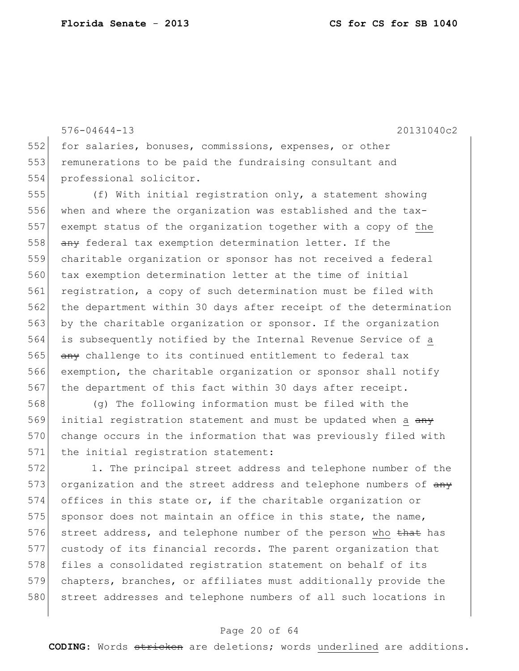576-04644-13 20131040c2 552 for salaries, bonuses, commissions, expenses, or other 553 remunerations to be paid the fundraising consultant and 554 professional solicitor. 555 (f) With initial registration only, a statement showing 556 when and where the organization was established and the tax-557 exempt status of the organization together with a copy of the 558 any federal tax exemption determination letter. If the 559 charitable organization or sponsor has not received a federal 560 tax exemption determination letter at the time of initial 561 registration, a copy of such determination must be filed with 562 the department within 30 days after receipt of the determination 563 by the charitable organization or sponsor. If the organization 564 is subsequently notified by the Internal Revenue Service of a 565 any challenge to its continued entitlement to federal tax 566 exemption, the charitable organization or sponsor shall notify 567 the department of this fact within 30 days after receipt. 568 (g) The following information must be filed with the 569 initial registration statement and must be updated when a  $\frac{any}{x}$ 570 change occurs in the information that was previously filed with 571 the initial registration statement: 572 1. The principal street address and telephone number of the

573 organization and the street address and telephone numbers of  $\frac{any}{x}$ 574 offices in this state or, if the charitable organization or 575 sponsor does not maintain an office in this state, the name, 576 street address, and telephone number of the person who that has 577 custody of its financial records. The parent organization that 578 files a consolidated registration statement on behalf of its 579 chapters, branches, or affiliates must additionally provide the 580 street addresses and telephone numbers of all such locations in

#### Page 20 of 64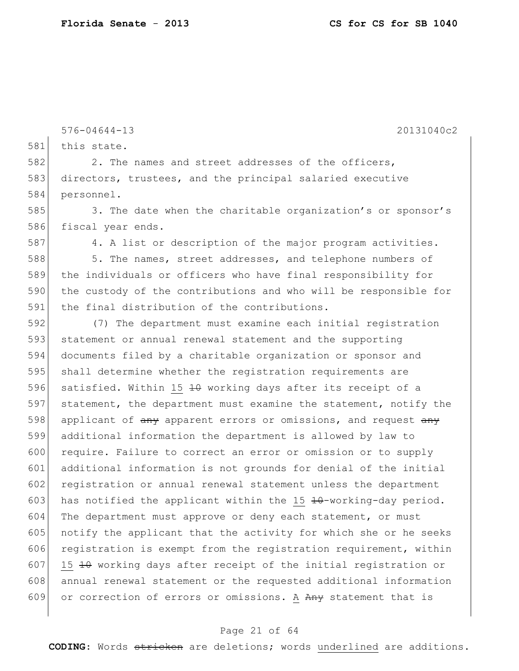576-04644-13 20131040c2 581 this state. 582 2. The names and street addresses of the officers, 583 directors, trustees, and the principal salaried executive 584 personnel. 585 3. The date when the charitable organization's or sponsor's 586 fiscal year ends. 587 4. A list or description of the major program activities. 588 588 5. The names, street addresses, and telephone numbers of 589 the individuals or officers who have final responsibility for 590 the custody of the contributions and who will be responsible for 591 the final distribution of the contributions. 592 (7) The department must examine each initial registration 593 statement or annual renewal statement and the supporting 594 documents filed by a charitable organization or sponsor and 595 shall determine whether the registration requirements are 596 satisfied. Within 15 10 working days after its receipt of a 597 statement, the department must examine the statement, notify the 598 applicant of any apparent errors or omissions, and request any 599 additional information the department is allowed by law to 600 require. Failure to correct an error or omission or to supply 601 additional information is not grounds for denial of the initial 602 registration or annual renewal statement unless the department 603 has notified the applicant within the 15  $\text{\textsterling}4\text{\texttt{+}}$ working-day period. 604 The department must approve or deny each statement, or must  $605$  notify the applicant that the activity for which she or he seeks 606 registration is exempt from the registration requirement, within 607 15  $\pm$ 0 working days after receipt of the initial registration or 608 annual renewal statement or the requested additional information 609 or correction of errors or omissions. A Any statement that is

#### Page 21 of 64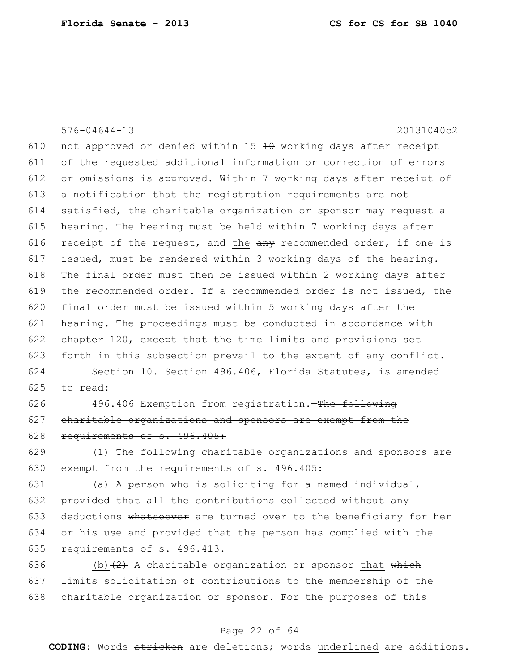576-04644-13 20131040c2 610 not approved or denied within 15  $\pm$ 0 working days after receipt 611 of the requested additional information or correction of errors 612 or omissions is approved. Within 7 working days after receipt of 613 a notification that the registration requirements are not 614 satisfied, the charitable organization or sponsor may request a 615 hearing. The hearing must be held within 7 working days after 616 receipt of the request, and the  $\frac{any}{1}$  recommended order, if one is 617 issued, must be rendered within 3 working days of the hearing. 618 The final order must then be issued within 2 working days after 619 the recommended order. If a recommended order is not issued, the 620 final order must be issued within 5 working days after the 621 hearing. The proceedings must be conducted in accordance with 622 chapter 120, except that the time limits and provisions set 623 forth in this subsection prevail to the extent of any conflict. 624 Section 10. Section 496.406, Florida Statutes, is amended  $625$  to read: 626 496.406 Exemption from registration.—The following  $627$  charitable organizations and sponsors are exempt from the  $628$  requirements of s. 496.405: 629 (1) The following charitable organizations and sponsors are 630 exempt from the requirements of s. 496.405: 631 (a) A person who is soliciting for a named individual, 632 provided that all the contributions collected without  $\frac{any}{any}$ 633 deductions whatsoever are turned over to the beneficiary for her 634 or his use and provided that the person has complied with the 635 requirements of s. 496.413. 636 (b)  $(2)$  A charitable organization or sponsor that which 637 limits solicitation of contributions to the membership of the

638 charitable organization or sponsor. For the purposes of this

### Page 22 of 64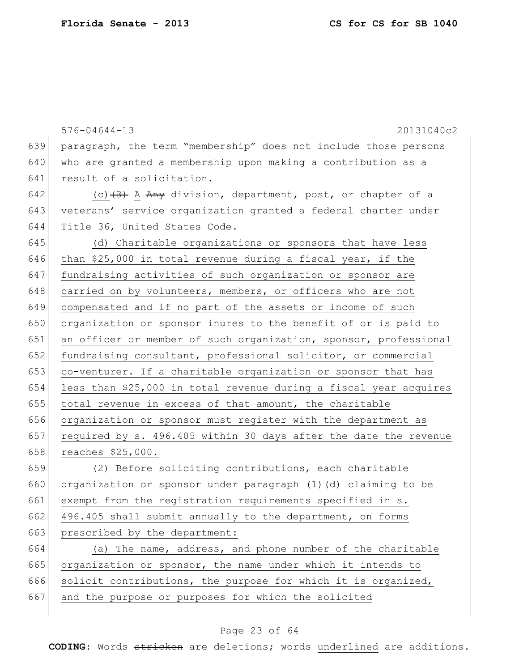|     | $576 - 04644 - 13$<br>20131040c2                                  |
|-----|-------------------------------------------------------------------|
| 639 | paragraph, the term "membership" does not include those persons   |
| 640 | who are granted a membership upon making a contribution as a      |
| 641 | result of a solicitation.                                         |
| 642 | (c) (3) A Any division, department, post, or chapter of a         |
| 643 | veterans' service organization granted a federal charter under    |
| 644 | Title 36, United States Code.                                     |
| 645 | (d) Charitable organizations or sponsors that have less           |
| 646 | than \$25,000 in total revenue during a fiscal year, if the       |
| 647 | fundraising activities of such organization or sponsor are        |
| 648 | carried on by volunteers, members, or officers who are not        |
| 649 | compensated and if no part of the assets or income of such        |
| 650 | organization or sponsor inures to the benefit of or is paid to    |
| 651 | an officer or member of such organization, sponsor, professional  |
| 652 | fundraising consultant, professional solicitor, or commercial     |
| 653 | co-venturer. If a charitable organization or sponsor that has     |
| 654 | less than \$25,000 in total revenue during a fiscal year acquires |
| 655 | total revenue in excess of that amount, the charitable            |
| 656 | organization or sponsor must register with the department as      |
| 657 | required by s. 496.405 within 30 days after the date the revenue  |
| 658 | reaches \$25,000.                                                 |
| 659 | (2) Before soliciting contributions, each charitable              |
| 660 | organization or sponsor under paragraph (1)(d) claiming to be     |
| 661 | exempt from the registration requirements specified in s.         |
| 662 | 496.405 shall submit annually to the department, on forms         |
| 663 | prescribed by the department:                                     |
| 664 | (a) The name, address, and phone number of the charitable         |
| 665 | organization or sponsor, the name under which it intends to       |
| 666 | solicit contributions, the purpose for which it is organized,     |
| 667 | and the purpose or purposes for which the solicited               |
|     |                                                                   |

# Page 23 of 64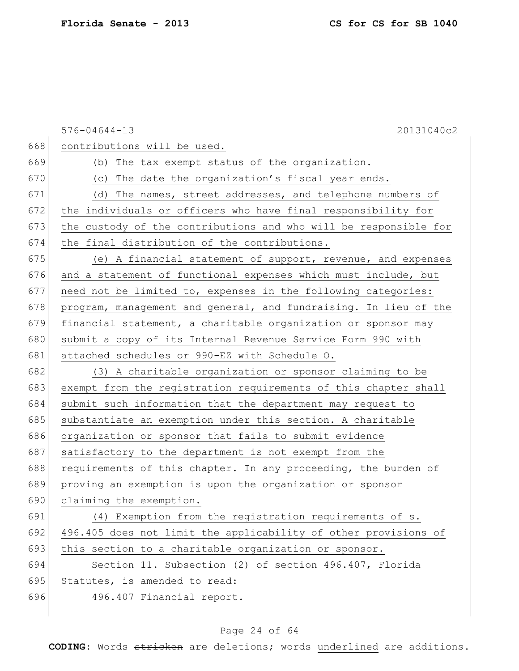|     | 20131040c2<br>$576 - 04644 - 13$                                 |
|-----|------------------------------------------------------------------|
| 668 | contributions will be used.                                      |
| 669 | (b) The tax exempt status of the organization.                   |
| 670 | (c) The date the organization's fiscal year ends.                |
| 671 | (d) The names, street addresses, and telephone numbers of        |
| 672 | the individuals or officers who have final responsibility for    |
| 673 | the custody of the contributions and who will be responsible for |
| 674 | the final distribution of the contributions.                     |
| 675 | (e) A financial statement of support, revenue, and expenses      |
| 676 | and a statement of functional expenses which must include, but   |
| 677 | need not be limited to, expenses in the following categories:    |
| 678 | program, management and general, and fundraising. In lieu of the |
| 679 | financial statement, a charitable organization or sponsor may    |
| 680 | submit a copy of its Internal Revenue Service Form 990 with      |
| 681 | attached schedules or 990-EZ with Schedule O.                    |
| 682 | (3) A charitable organization or sponsor claiming to be          |
| 683 | exempt from the registration requirements of this chapter shall  |
| 684 | submit such information that the department may request to       |
| 685 | substantiate an exemption under this section. A charitable       |
| 686 | organization or sponsor that fails to submit evidence            |
| 687 | satisfactory to the department is not exempt from the            |
| 688 | requirements of this chapter. In any proceeding, the burden of   |
| 689 | proving an exemption is upon the organization or sponsor         |
| 690 | claiming the exemption.                                          |
| 691 | (4) Exemption from the registration requirements of s.           |
| 692 | 496.405 does not limit the applicability of other provisions of  |
| 693 | this section to a charitable organization or sponsor.            |
| 694 | Section 11. Subsection (2) of section 496.407, Florida           |
| 695 | Statutes, is amended to read:                                    |
| 696 | 496.407 Financial report.-                                       |
|     |                                                                  |

# Page 24 of 64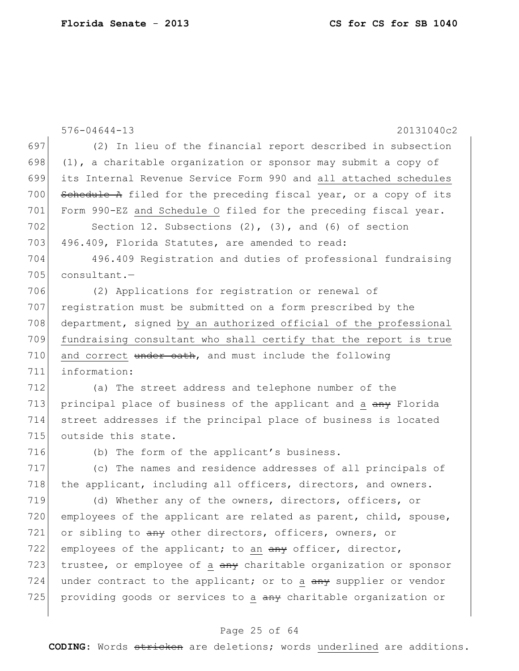|     | $576 - 04644 - 13$<br>20131040c2                                  |
|-----|-------------------------------------------------------------------|
| 697 | (2) In lieu of the financial report described in subsection       |
| 698 | $(1)$ , a charitable organization or sponsor may submit a copy of |
| 699 | its Internal Revenue Service Form 990 and all attached schedules  |
| 700 | Schedule A filed for the preceding fiscal year, or a copy of its  |
| 701 | Form 990-EZ and Schedule O filed for the preceding fiscal year.   |
| 702 | Section 12. Subsections $(2)$ , $(3)$ , and $(6)$ of section      |
| 703 | 496.409, Florida Statutes, are amended to read:                   |
| 704 | 496.409 Registration and duties of professional fundraising       |
| 705 | $constant. -$                                                     |
| 706 | (2) Applications for registration or renewal of                   |
| 707 | registration must be submitted on a form prescribed by the        |
| 708 | department, signed by an authorized official of the professional  |
| 709 | fundraising consultant who shall certify that the report is true  |
| 710 | and correct under oath, and must include the following            |
| 711 | information:                                                      |
| 712 | (a) The street address and telephone number of the                |
| 713 | principal place of business of the applicant and a any Florida    |
| 714 | street addresses if the principal place of business is located    |
| 715 | outside this state.                                               |
| 716 | (b) The form of the applicant's business.                         |
| 717 | (c) The names and residence addresses of all principals of        |
| 718 | the applicant, including all officers, directors, and owners.     |
| 719 | (d) Whether any of the owners, directors, officers, or            |
| 720 | employees of the applicant are related as parent, child, spouse,  |
| 721 | or sibling to any other directors, officers, owners, or           |
| 722 | employees of the applicant; to an any officer, director,          |
| 723 | trustee, or employee of a any charitable organization or sponsor  |
| 724 | under contract to the applicant; or to a any supplier or vendor   |
| 725 | providing goods or services to a any charitable organization or   |
|     |                                                                   |

# Page 25 of 64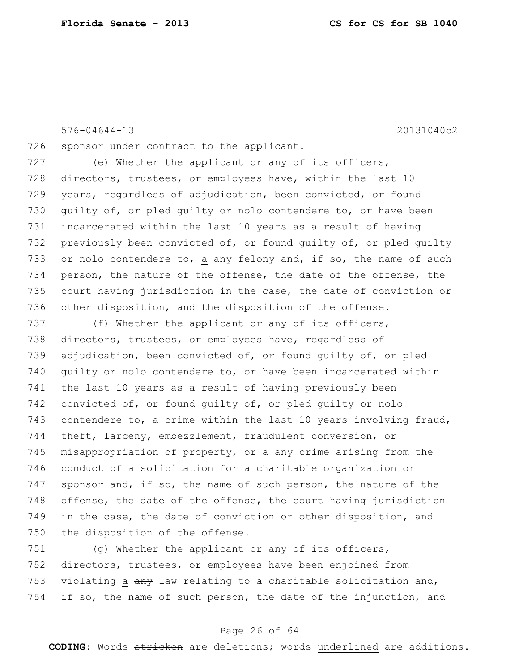```
576-04644-13 20131040c2
726 sponsor under contract to the applicant.
727 (e) Whether the applicant or any of its officers,
728 directors, trustees, or employees have, within the last 10
729 years, regardless of adjudication, been convicted, or found
730 quilty of, or pled quilty or nolo contendere to, or have been
731 incarcerated within the last 10 years as a result of having 
732 previously been convicted of, or found guilty of, or pled guilty 
733 or nolo contendere to, a \frac{a}{b} felony and, if so, the name of such
734 person, the nature of the offense, the date of the offense, the 
735 court having jurisdiction in the case, the date of conviction or 
736 other disposition, and the disposition of the offense.
```
737  $(f)$  Whether the applicant or any of its officers, 738 directors, trustees, or employees have, regardless of 739 adjudication, been convicted of, or found guilty of, or pled 740 guilty or nolo contendere to, or have been incarcerated within 741 the last 10 years as a result of having previously been 742 convicted of, or found guilty of, or pled guilty or nolo 743 contendere to, a crime within the last 10 years involving fraud, 744 theft, larceny, embezzlement, fraudulent conversion, or 745 misappropriation of property, or a  $\frac{amy}{2}$  crime arising from the 746 conduct of a solicitation for a charitable organization or 747 sponsor and, if so, the name of such person, the nature of the 748 offense, the date of the offense, the court having jurisdiction 749 in the case, the date of conviction or other disposition, and 750 the disposition of the offense.

751 (g) Whether the applicant or any of its officers, 752 directors, trustees, or employees have been enjoined from 753 violating a  $a_{\text{H}}$  law relating to a charitable solicitation and, 754 if so, the name of such person, the date of the injunction, and

### Page 26 of 64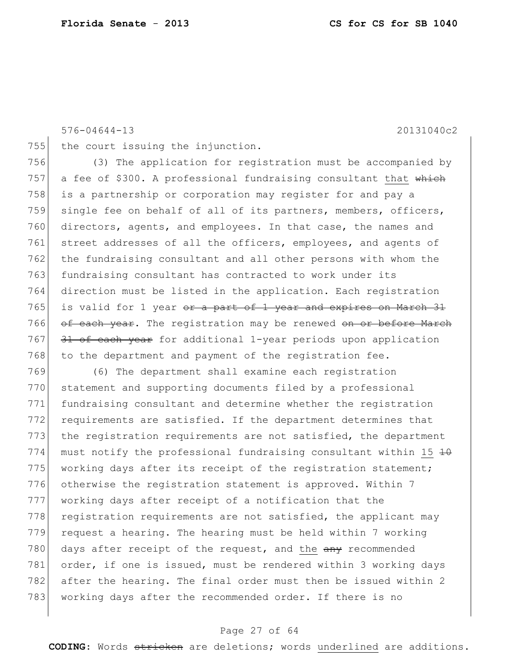576-04644-13 20131040c2

755 the court issuing the injunction.

756 (3) The application for registration must be accompanied by 757 a fee of \$300. A professional fundraising consultant that  $\frac{1}{2}$ 758 is a partnership or corporation may register for and pay a 759 single fee on behalf of all of its partners, members, officers, 760 directors, agents, and employees. In that case, the names and 761 street addresses of all the officers, employees, and agents of 762 the fundraising consultant and all other persons with whom the 763 fundraising consultant has contracted to work under its 764 direction must be listed in the application. Each registration 765 is valid for 1 year  $or$  a part of 1 year and expires on March 31 766 of each year. The registration may be renewed on or before March  $767$  31 of each year for additional 1-year periods upon application 768 to the department and payment of the registration fee.

769 (6) The department shall examine each registration 770 statement and supporting documents filed by a professional 771 fundraising consultant and determine whether the registration 772 requirements are satisfied. If the department determines that 773 the registration requirements are not satisfied, the department 774 must notify the professional fundraising consultant within 15  $\pm$ 0 775 working days after its receipt of the registration statement; 776 otherwise the registration statement is approved. Within 7 777 working days after receipt of a notification that the  $778$  registration requirements are not satisfied, the applicant may  $779$  request a hearing. The hearing must be held within 7 working 780 days after receipt of the request, and the  $\frac{any}{x}$  recommended 781 order, if one is issued, must be rendered within 3 working days 782 after the hearing. The final order must then be issued within 2 783 working days after the recommended order. If there is no

### Page 27 of 64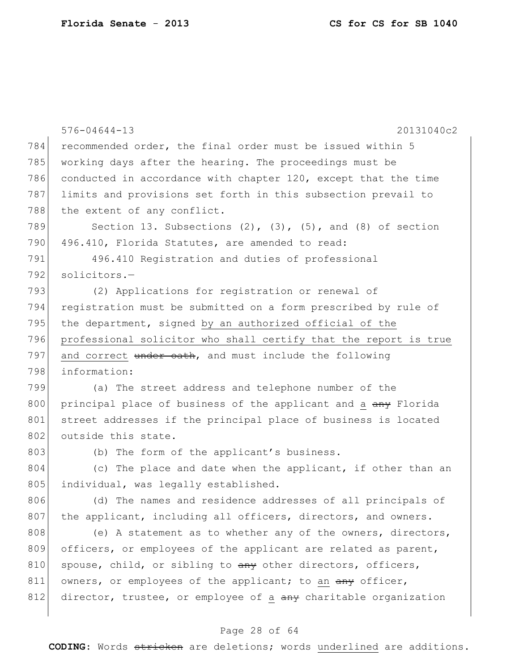|     | $576 - 04644 - 13$<br>20131040c2                                     |
|-----|----------------------------------------------------------------------|
| 784 | recommended order, the final order must be issued within 5           |
| 785 | working days after the hearing. The proceedings must be              |
| 786 | conducted in accordance with chapter 120, except that the time       |
| 787 | limits and provisions set forth in this subsection prevail to        |
| 788 | the extent of any conflict.                                          |
| 789 | Section 13. Subsections $(2)$ , $(3)$ , $(5)$ , and $(8)$ of section |
| 790 | 496.410, Florida Statutes, are amended to read:                      |
| 791 | 496.410 Registration and duties of professional                      |
| 792 | solicitors.-                                                         |
| 793 | (2) Applications for registration or renewal of                      |
| 794 | registration must be submitted on a form prescribed by rule of       |
| 795 | the department, signed by an authorized official of the              |
| 796 | professional solicitor who shall certify that the report is true     |
| 797 | and correct under oath, and must include the following               |
| 798 | information:                                                         |
| 799 | (a) The street address and telephone number of the                   |
| 800 | principal place of business of the applicant and a any Florida       |
| 801 | street addresses if the principal place of business is located       |
| 802 | outside this state.                                                  |
| 803 | (b) The form of the applicant's business.                            |
| 804 | (c) The place and date when the applicant, if other than an          |
| 805 | individual, was legally established.                                 |
| 806 | (d) The names and residence addresses of all principals of           |
| 807 | the applicant, including all officers, directors, and owners.        |
| 808 | (e) A statement as to whether any of the owners, directors,          |
| 809 | officers, or employees of the applicant are related as parent,       |
| 810 | spouse, child, or sibling to any other directors, officers,          |
| 811 | owners, or employees of the applicant; to an any officer,            |
| 812 | director, trustee, or employee of a any charitable organization      |
|     |                                                                      |

# Page 28 of 64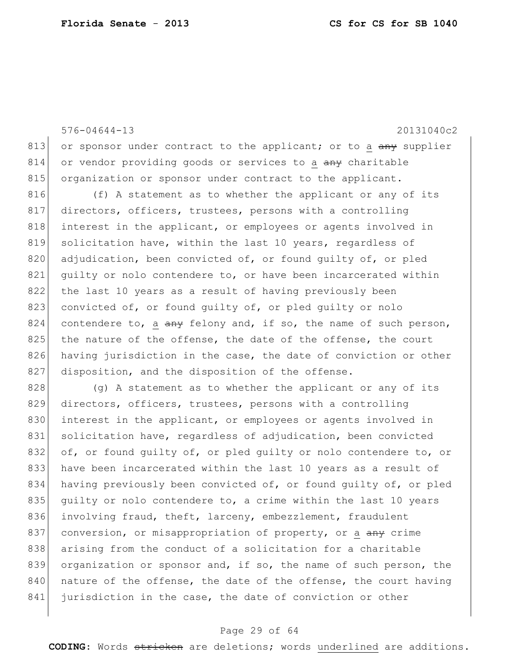576-04644-13 20131040c2 813 or sponsor under contract to the applicant; or to a  $\frac{any}{any}$  supplier 814 or vendor providing goods or services to a any charitable 815 organization or sponsor under contract to the applicant. 816 (f) A statement as to whether the applicant or any of its 817 directors, officers, trustees, persons with a controlling 818 interest in the applicant, or employees or agents involved in 819 solicitation have, within the last 10 years, regardless of 820 adjudication, been convicted of, or found quilty of, or pled 821 quilty or nolo contendere to, or have been incarcerated within 822 the last 10 years as a result of having previously been 823 convicted of, or found guilty of, or pled guilty or nolo 824 contendere to, a  $\frac{a}{b}$  felony and, if so, the name of such person,  $825$  the nature of the offense, the date of the offense, the court 826 having jurisdiction in the case, the date of conviction or other 827 disposition, and the disposition of the offense.  $828$  (g) A statement as to whether the applicant or any of its 829 directors, officers, trustees, persons with a controlling

830 interest in the applicant, or employees or agents involved in 831 solicitation have, regardless of adjudication, been convicted 832 of, or found quilty of, or pled quilty or nolo contendere to, or 833 have been incarcerated within the last 10 years as a result of 834 having previously been convicted of, or found guilty of, or pled 835 quilty or nolo contendere to, a crime within the last 10 years 836 involving fraud, theft, larceny, embezzlement, fraudulent 837 conversion, or misappropriation of property, or a any crime 838 arising from the conduct of a solicitation for a charitable 839 organization or sponsor and, if so, the name of such person, the  $840$  nature of the offense, the date of the offense, the court having 841 jurisdiction in the case, the date of conviction or other

### Page 29 of 64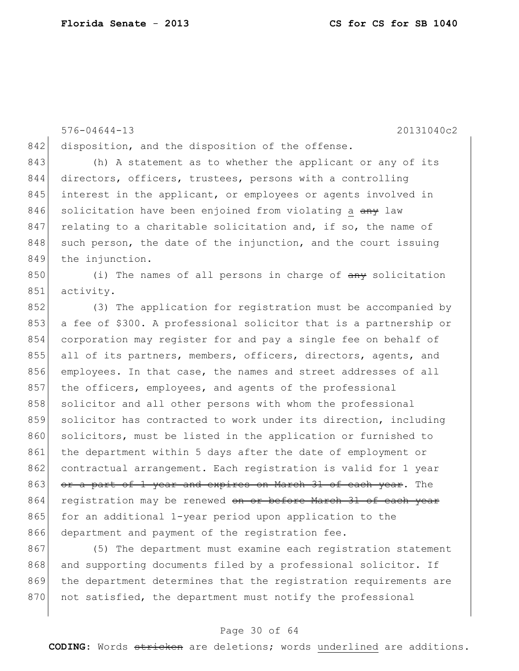576-04644-13 20131040c2 842 disposition, and the disposition of the offense. 843 (h) A statement as to whether the applicant or any of its 844 directors, officers, trustees, persons with a controlling 845 interest in the applicant, or employees or agents involved in 846 solicitation have been enjoined from violating a any law  $847$  relating to a charitable solicitation and, if so, the name of  $848$  such person, the date of the injunction, and the court issuing 849 the injunction.  $850$  (i) The names of all persons in charge of  $\frac{1}{2}$  any solicitation 851 activity. 852 (3) The application for registration must be accompanied by 853 a fee of \$300. A professional solicitor that is a partnership or 854 corporation may register for and pay a single fee on behalf of 855 all of its partners, members, officers, directors, agents, and 856 employees. In that case, the names and street addresses of all 857 the officers, employees, and agents of the professional 858 solicitor and all other persons with whom the professional 859 solicitor has contracted to work under its direction, including 860 solicitors, must be listed in the application or furnished to 861 the department within 5 days after the date of employment or 862 contractual arrangement. Each registration is valid for 1 year 863 or a part of 1 year and expires on March 31 of each year. The 864 registration may be renewed on or before March 31 of each year 865 for an additional 1-year period upon application to the 866 department and payment of the registration fee.

867 (5) The department must examine each registration statement 868 and supporting documents filed by a professional solicitor. If 869 the department determines that the registration requirements are 870 not satisfied, the department must notify the professional

### Page 30 of 64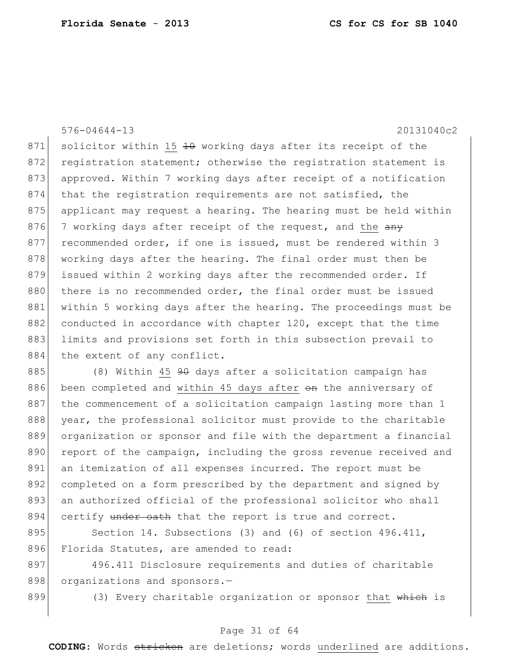576-04644-13 20131040c2 871 solicitor within 15  $\overline{10}$  working days after its receipt of the 872 registration statement; otherwise the registration statement is 873 approved. Within 7 working days after receipt of a notification 874 that the registration requirements are not satisfied, the 875 applicant may request a hearing. The hearing must be held within 876 7 working days after receipt of the request, and the any 877 recommended order, if one is issued, must be rendered within 3 878 working days after the hearing. The final order must then be 879 issued within 2 working days after the recommended order. If 880 there is no recommended order, the final order must be issued 881 within 5 working days after the hearing. The proceedings must be 882 conducted in accordance with chapter 120, except that the time 883 limits and provisions set forth in this subsection prevail to 884 the extent of any conflict.

885 (8) Within 45 <del>90</del> days after a solicitation campaign has 886 been completed and within 45 days after on the anniversary of 887 the commencement of a solicitation campaign lasting more than 1 888 year, the professional solicitor must provide to the charitable 889 organization or sponsor and file with the department a financial 890 report of the campaign, including the gross revenue received and 891 an itemization of all expenses incurred. The report must be 892 completed on a form prescribed by the department and signed by 893 an authorized official of the professional solicitor who shall 894 certify under oath that the report is true and correct.

895 Section 14. Subsections (3) and (6) of section 496.411, 896 Florida Statutes, are amended to read:

897 496.411 Disclosure requirements and duties of charitable 898 organizations and sponsors.-

899 (3) Every charitable organization or sponsor that  $\frac{1}{2}$  which is

### Page 31 of 64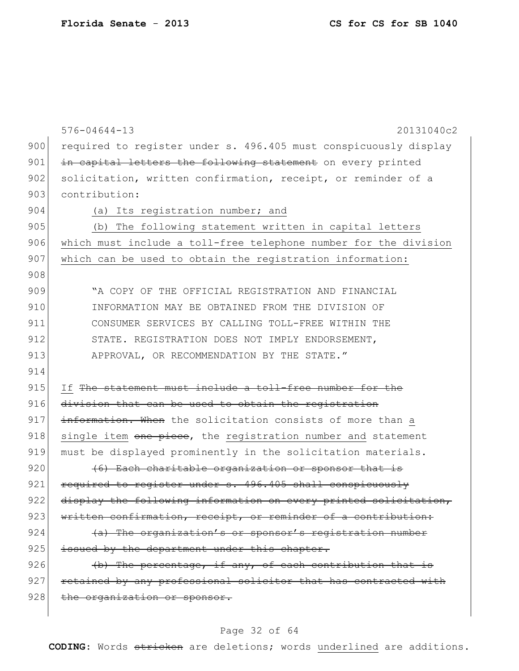|     | $576 - 04644 - 13$<br>20131040c2                                 |
|-----|------------------------------------------------------------------|
| 900 | required to register under s. 496.405 must conspicuously display |
| 901 | in capital letters the following statement on every printed      |
| 902 | solicitation, written confirmation, receipt, or reminder of a    |
| 903 | contribution:                                                    |
| 904 | (a) Its registration number; and                                 |
| 905 | (b) The following statement written in capital letters           |
| 906 | which must include a toll-free telephone number for the division |
| 907 | which can be used to obtain the registration information:        |
| 908 |                                                                  |
| 909 | "A COPY OF THE OFFICIAL REGISTRATION AND FINANCIAL               |
| 910 | INFORMATION MAY BE OBTAINED FROM THE DIVISION OF                 |
| 911 | CONSUMER SERVICES BY CALLING TOLL-FREE WITHIN THE                |
| 912 | STATE. REGISTRATION DOES NOT IMPLY ENDORSEMENT,                  |
| 913 | APPROVAL, OR RECOMMENDATION BY THE STATE."                       |
| 914 |                                                                  |
| 915 | If The statement must include a toll-free number for the         |
| 916 | division that can be used to obtain the registration             |
| 917 | information. When the solicitation consists of more than a       |
| 918 | single item one piece, the registration number and statement     |
| 919 | must be displayed prominently in the solicitation materials.     |
| 920 | (6) Each charitable organization or sponsor that is              |
| 921 | required to register under s. 496.405 shall conspicuously        |
| 922 | display the following information on every printed solicitation, |
| 923 | written confirmation, receipt, or reminder of a contribution:    |
| 924 | (a) The organization's or sponsor's registration number          |
| 925 | issued by the department under this chapter.                     |
| 926 | (b) The percentage, if any, of each contribution that is         |
| 927 | retained by any professional solicitor that has contracted with  |
| 928 | the organization or sponsor.                                     |
|     |                                                                  |

# Page 32 of 64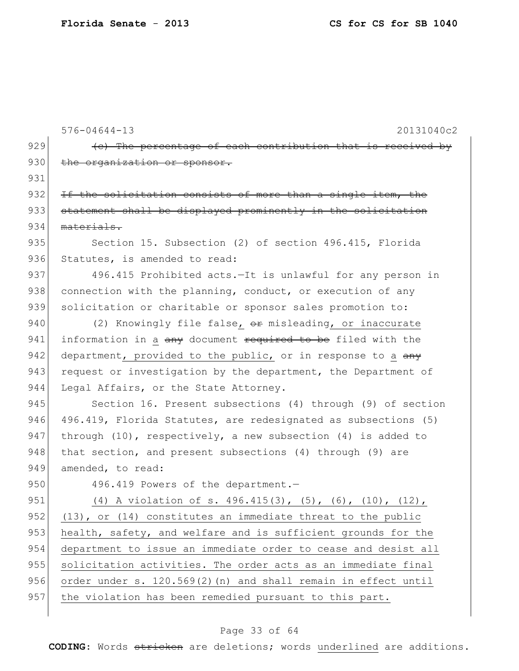|     | $576 - 04644 - 13$<br>20131040c2                                                  |
|-----|-----------------------------------------------------------------------------------|
| 929 | (e) The percentage of each contribution that is received by                       |
| 930 | the organization or sponsor.                                                      |
| 931 |                                                                                   |
| 932 | If the solicitation consists of more than a single item, the                      |
| 933 | statement shall be displayed prominently in the solicitation                      |
| 934 | materials.                                                                        |
| 935 | Section 15. Subsection (2) of section 496.415, Florida                            |
| 936 | Statutes, is amended to read:                                                     |
| 937 | 496.415 Prohibited acts.-It is unlawful for any person in                         |
| 938 | connection with the planning, conduct, or execution of any                        |
| 939 | solicitation or charitable or sponsor sales promotion to:                         |
| 940 | (2) Knowingly file false, or misleading, or inaccurate                            |
| 941 | information in a <del>any</del> document <del>required to be</del> filed with the |
| 942 | department, provided to the public, or in response to a any                       |
| 943 | request or investigation by the department, the Department of                     |
| 944 | Legal Affairs, or the State Attorney.                                             |
| 945 | Section 16. Present subsections (4) through (9) of section                        |
| 946 | 496.419, Florida Statutes, are redesignated as subsections (5)                    |
| 947 | through $(10)$ , respectively, a new subsection $(4)$ is added to                 |
| 948 | that section, and present subsections (4) through (9) are                         |
| 949 | amended, to read:                                                                 |
| 950 | 496.419 Powers of the department.-                                                |
| 951 | (4) A violation of s. 496.415(3), (5), (6), (10), (12),                           |
| 952 | $(13)$ , or $(14)$ constitutes an immediate threat to the public                  |
| 953 | health, safety, and welfare and is sufficient grounds for the                     |
| 954 | department to issue an immediate order to cease and desist all                    |
| 955 | solicitation activities. The order acts as an immediate final                     |
| 956 | order under s. 120.569(2) (n) and shall remain in effect until                    |
| 957 | the violation has been remedied pursuant to this part.                            |

# Page 33 of 64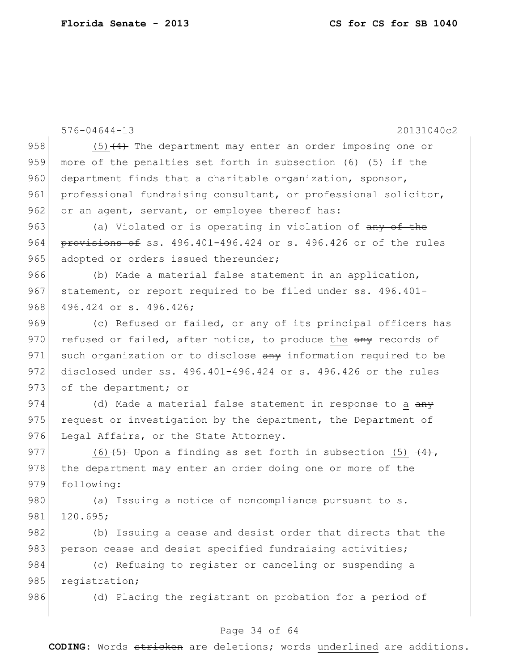576-04644-13 20131040c2 958  $(5)$   $(4)$  The department may enter an order imposing one or 959 more of the penalties set forth in subsection (6)  $\left(5\right)$  if the 960 department finds that a charitable organization, sponsor, 961 professional fundraising consultant, or professional solicitor,  $962$  or an agent, servant, or employee thereof has: 963 (a) Violated or is operating in violation of any of the 964  $p$  provisions of ss. 496.401-496.424 or s. 496.426 or of the rules 965 adopted or orders issued thereunder; 966 (b) Made a material false statement in an application, 967 statement, or report required to be filed under ss. 496.401-968 496.424 or s. 496.426; 969 (c) Refused or failed, or any of its principal officers has 970 refused or failed, after notice, to produce the  $\frac{any}{x}$  records of 971 such organization or to disclose any information required to be 972 disclosed under ss. 496.401-496.424 or s. 496.426 or the rules 973 of the department; or 974 (d) Made a material false statement in response to a  $\frac{day}{y}$ 975 request or investigation by the department, the Department of 976 Legal Affairs, or the State Attorney. 977 (6)  $\left(5\right)$  Upon a finding as set forth in subsection (5)  $\left(4\right)$ , 978 the department may enter an order doing one or more of the 979 following: 980 (a) Issuing a notice of noncompliance pursuant to s. 981 120.695; 982 (b) Issuing a cease and desist order that directs that the 983 person cease and desist specified fundraising activities; 984 (c) Refusing to register or canceling or suspending a 985 registration; 986 (d) Placing the registrant on probation for a period of

### Page 34 of 64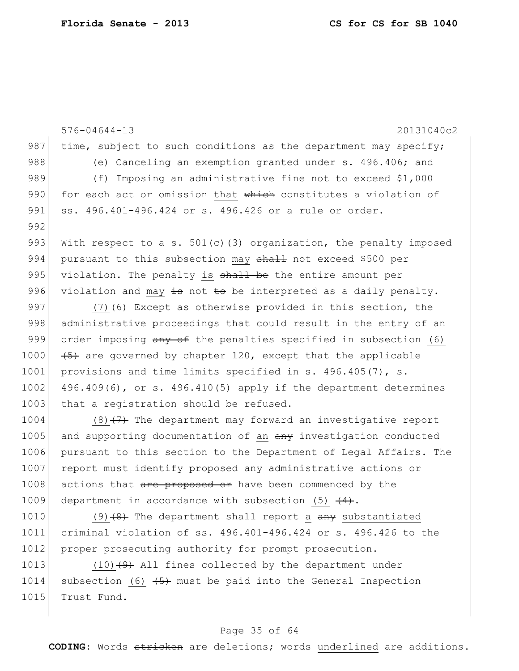576-04644-13 20131040c2 987 time, subject to such conditions as the department may specify; 988 (e) Canceling an exemption granted under s. 496.406; and 989 (f) Imposing an administrative fine not to exceed \$1,000 990 for each act or omission that which constitutes a violation of 991 ss. 496.401-496.424 or s. 496.426 or a rule or order. 992 993 With respect to a s.  $501(c)$  (3) organization, the penalty imposed 994 pursuant to this subsection may shall not exceed \$500 per 995 violation. The penalty is  $shall$  be the entire amount per 996 violation and may  $\frac{1}{2}$  not  $\frac{1}{2}$  be interpreted as a daily penalty. 997 (7)  $(7)$  (6) Except as otherwise provided in this section, the 998 administrative proceedings that could result in the entry of an 999 order imposing  $\frac{a_n}{b_n}$  of the penalties specified in subsection (6) 1000  $(45)$  are governed by chapter 120, except that the applicable 1001 provisions and time limits specified in s. 496.405(7), s.  $1002$  496.409(6), or s. 496.410(5) apply if the department determines 1003 that a registration should be refused.  $1004$  (8) $\left(7\right)$  The department may forward an investigative report 1005 and supporting documentation of an  $\frac{amy}{2}$  investigation conducted 1006 pursuant to this section to the Department of Legal Affairs. The 1007 report must identify proposed any administrative actions or 1008 actions that are proposed or have been commenced by the 1009 department in accordance with subsection (5)  $\left(4\right)$ .

1010 (9)  $(8)$  The department shall report a  $\frac{any}{any}$  substantiated 1011 criminal violation of ss. 496.401-496.424 or s. 496.426 to the 1012 proper prosecuting authority for prompt prosecution.

1013  $(10)$   $(9)$  All fines collected by the department under 1014 subsection (6)  $\left(5\right)$  must be paid into the General Inspection 1015 Trust Fund.

### Page 35 of 64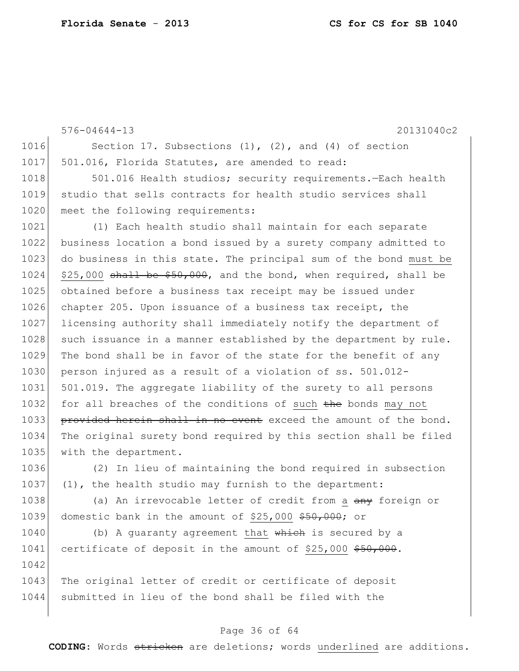576-04644-13 20131040c2 1016 Section 17. Subsections (1), (2), and (4) of section 1017 501.016, Florida Statutes, are amended to read: 1018 501.016 Health studios; security requirements.—Each health 1019 studio that sells contracts for health studio services shall 1020 meet the following requirements: 1021 (1) Each health studio shall maintain for each separate 1022 business location a bond issued by a surety company admitted to 1023 do business in this state. The principal sum of the bond must be  $1024$  \$25,000 shall be \$50,000, and the bond, when required, shall be 1025 obtained before a business tax receipt may be issued under 1026 chapter 205. Upon issuance of a business tax receipt, the 1027 licensing authority shall immediately notify the department of 1028 such issuance in a manner established by the department by rule.  $1029$  The bond shall be in favor of the state for the benefit of any 1030 person injured as a result of a violation of ss. 501.012-1031 501.019. The aggregate liability of the surety to all persons 1032 for all breaches of the conditions of such the bonds may not 1033 provided herein shall in no event exceed the amount of the bond. 1034 The original surety bond required by this section shall be filed 1035 with the department. 1036 (2) In lieu of maintaining the bond required in subsection 1037 (1), the health studio may furnish to the department: 1038 (a) An irrevocable letter of credit from a  $\frac{any}{any}$  foreign or

1039 domestic bank in the amount of \$25,000 \$50,000; or

1042

 $1040$  (b) A quaranty agreement that which is secured by a 1041 certificate of deposit in the amount of \$25,000 \$50,000.

1043 The original letter of credit or certificate of deposit 1044 submitted in lieu of the bond shall be filed with the

### Page 36 of 64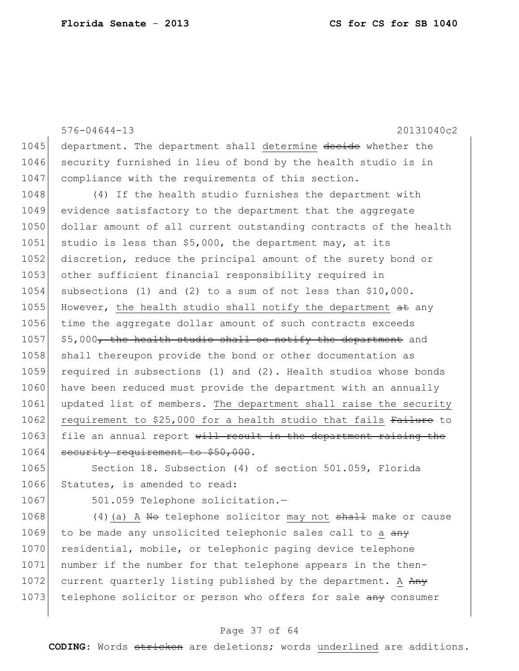576-04644-13 20131040c2 1045 department. The department shall determine decide whether the 1046 security furnished in lieu of bond by the health studio is in 1047 compliance with the requirements of this section. 1048 (4) If the health studio furnishes the department with 1049 evidence satisfactory to the department that the aggregate 1050 dollar amount of all current outstanding contracts of the health 1051 studio is less than  $$5,000$ , the department may, at its 1052 discretion, reduce the principal amount of the surety bond or 1053 other sufficient financial responsibility required in 1054 subsections (1) and (2) to a sum of not less than \$10,000. 1055 However, the health studio shall notify the department  $a$ t any 1056 time the aggregate dollar amount of such contracts exceeds 1057  $\frac{1057}{1057}$  \$5,000<del>, the health studio shall so notify the department</del> and 1058 shall thereupon provide the bond or other documentation as 1059 required in subsections (1) and (2). Health studios whose bonds 1060 have been reduced must provide the department with an annually 1061 updated list of members. The department shall raise the security 1062 requirement to \$25,000 for a health studio that fails Failure to  $1063$  file an annual report  $\frac{11}{11}$  result in the department raising the 1064 security requirement to \$50,000.

1065 Section 18. Subsection (4) of section 501.059, Florida 1066 Statutes, is amended to read:

1067 501.059 Telephone solicitation.-

1068  $(4)$  (a) A No telephone solicitor may not  $shath$  make or cause  $1069$  to be made any unsolicited telephonic sales call to a  $\frac{any}{x}$ 1070 residential, mobile, or telephonic paging device telephone 1071 number if the number for that telephone appears in the then-1072 current quarterly listing published by the department. A Any 1073 telephone solicitor or person who offers for sale any consumer

#### Page 37 of 64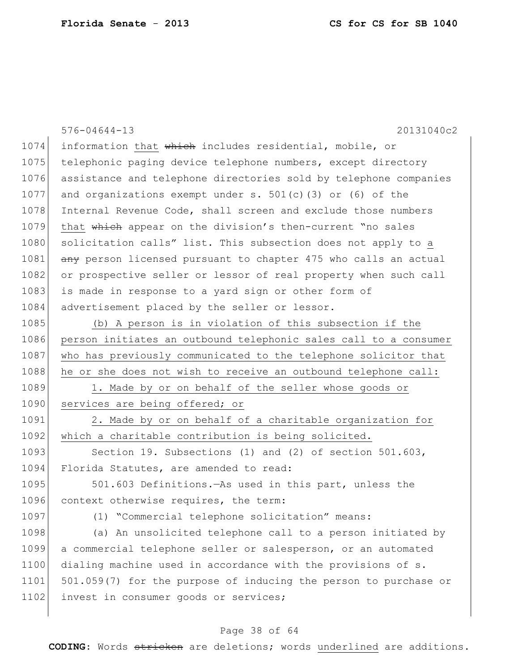|      | 20131040c2<br>$576 - 04644 - 13$                                 |
|------|------------------------------------------------------------------|
| 1074 | information that which includes residential, mobile, or          |
| 1075 | telephonic paging device telephone numbers, except directory     |
| 1076 | assistance and telephone directories sold by telephone companies |
| 1077 | and organizations exempt under s. $501(c)$ (3) or (6) of the     |
| 1078 | Internal Revenue Code, shall screen and exclude those numbers    |
| 1079 | that which appear on the division's then-current "no sales       |
| 1080 | solicitation calls" list. This subsection does not apply to a    |
| 1081 | any person licensed pursuant to chapter 475 who calls an actual  |
| 1082 | or prospective seller or lessor of real property when such call  |
| 1083 | is made in response to a yard sign or other form of              |
| 1084 | advertisement placed by the seller or lessor.                    |
| 1085 | (b) A person is in violation of this subsection if the           |
| 1086 | person initiates an outbound telephonic sales call to a consumer |
| 1087 | who has previously communicated to the telephone solicitor that  |
| 1088 | he or she does not wish to receive an outbound telephone call:   |
| 1089 | 1. Made by or on behalf of the seller whose goods or             |
| 1090 | services are being offered; or                                   |
| 1091 | 2. Made by or on behalf of a charitable organization for         |
| 1092 | which a charitable contribution is being solicited.              |
| 1093 | Section 19. Subsections (1) and (2) of section $501.603$ ,       |
| 1094 | Florida Statutes, are amended to read:                           |
| 1095 | 501.603 Definitions. - As used in this part, unless the          |
| 1096 | context otherwise requires, the term:                            |
| 1097 | (1) "Commercial telephone solicitation" means:                   |
| 1098 | (a) An unsolicited telephone call to a person initiated by       |
| 1099 | a commercial telephone seller or salesperson, or an automated    |
| 1100 | dialing machine used in accordance with the provisions of s.     |
| 1101 | 501.059(7) for the purpose of inducing the person to purchase or |
| 1102 | invest in consumer goods or services;                            |
|      |                                                                  |

# Page 38 of 64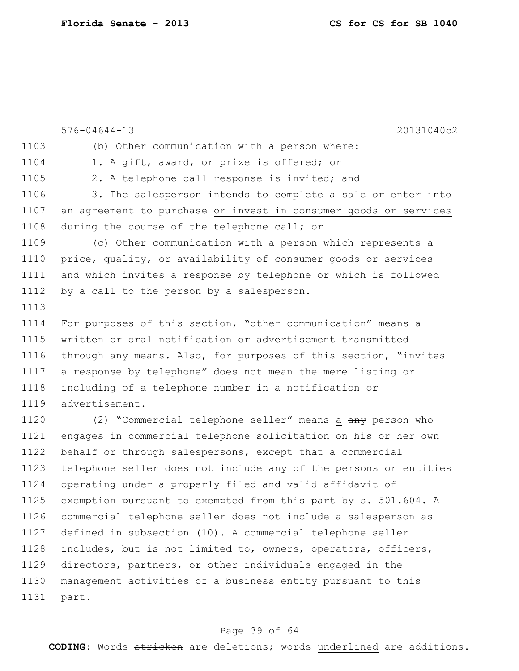```
576-04644-13 20131040c2
1103 (b) Other communication with a person where:
1104 1. A gift, award, or prize is offered; or
1105 2. A telephone call response is invited; and
1106 3. The salesperson intends to complete a sale or enter into
1107 an agreement to purchase or invest in consumer goods or services
1108 during the course of the telephone call; or
1109 (c) Other communication with a person which represents a 
1110 price, quality, or availability of consumer goods or services
1111 and which invites a response by telephone or which is followed 
1112 by a call to the person by a salesperson.
1113
1114 For purposes of this section, "other communication" means a 
1115 written or oral notification or advertisement transmitted 
1116 through any means. Also, for purposes of this section, "invites 
1117 a response by telephone" does not mean the mere listing or 
1118 including of a telephone number in a notification or 
1119 advertisement.
1120 (2) "Commercial telephone seller" means a any person who
1121 engages in commercial telephone solicitation on his or her own 
1122 behalf or through salespersons, except that a commercial
1123 telephone seller does not include any of the persons or entities
1124 operating under a properly filed and valid affidavit of 
1125 exemption pursuant to exempted from this part by s. 501.604. A
1126 commercial telephone seller does not include a salesperson as 
1127 defined in subsection (10). A commercial telephone seller 
1128 includes, but is not limited to, owners, operators, officers,
1129 directors, partners, or other individuals engaged in the 
1130 management activities of a business entity pursuant to this 
1131 part.
```
#### Page 39 of 64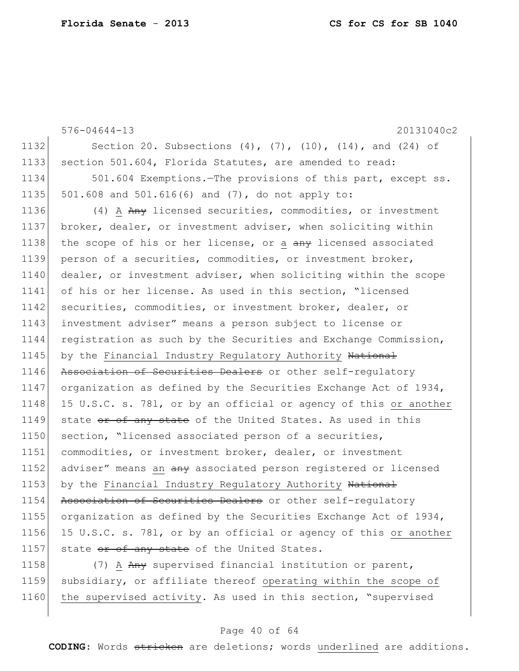576-04644-13 20131040c2 1132 Section 20. Subsections (4), (7), (10), (14), and (24) of 1133 section 501.604, Florida Statutes, are amended to read: 1134 501.604 Exemptions.—The provisions of this part, except ss. 1135 501.608 and 501.616(6) and (7), do not apply to: 1136 (4) A Any licensed securities, commodities, or investment 1137 broker, dealer, or investment adviser, when soliciting within 1138 the scope of his or her license, or a any licensed associated 1139 person of a securities, commodities, or investment broker, 1140 dealer, or investment adviser, when soliciting within the scope 1141 of his or her license. As used in this section, "licensed 1142 securities, commodities, or investment broker, dealer, or 1143 investment adviser" means a person subject to license or 1144 registration as such by the Securities and Exchange Commission, 1145 by the Financial Industry Regulatory Authority National 1146 Association of Securities Dealers or other self-regulatory 1147 organization as defined by the Securities Exchange Act of 1934, 1148 15 U.S.C. s. 781, or by an official or agency of this or another 1149 state or of any state of the United States. As used in this 1150 section, "licensed associated person of a securities, 1151 commodities, or investment broker, dealer, or investment 1152 adviser" means an any associated person registered or licensed 1153 by the Financial Industry Regulatory Authority National 1154 Association of Securities Dealers or other self-requlatory 1155 organization as defined by the Securities Exchange Act of 1934, 1156 15 U.S.C. s. 781, or by an official or agency of this or another 1157 state  $or$  of any state of the United States. 1158 (7) A Any supervised financial institution or parent,

1159 subsidiary, or affiliate thereof operating within the scope of 1160 the supervised activity. As used in this section, "supervised

### Page 40 of 64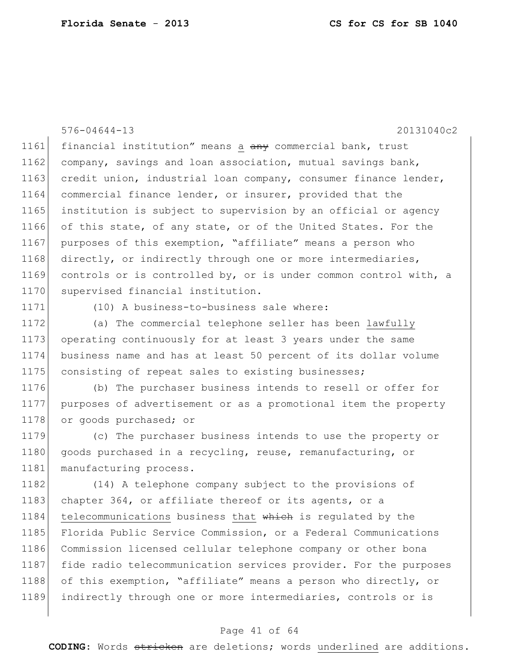576-04644-13 20131040c2 1161 financial institution" means a any commercial bank, trust  $1162$  company, savings and loan association, mutual savings bank, 1163 credit union, industrial loan company, consumer finance lender, 1164 commercial finance lender, or insurer, provided that the 1165 institution is subject to supervision by an official or agency 1166 of this state, of any state, or of the United States. For the 1167 purposes of this exemption, "affiliate" means a person who 1168 directly, or indirectly through one or more intermediaries, 1169 controls or is controlled by, or is under common control with, a 1170 supervised financial institution.

1171 (10) A business-to-business sale where:

 (a) The commercial telephone seller has been lawfully operating continuously for at least 3 years under the same business name and has at least 50 percent of its dollar volume 1175 consisting of repeat sales to existing businesses;

1176 (b) The purchaser business intends to resell or offer for 1177 purposes of advertisement or as a promotional item the property 1178 or goods purchased; or

1179 (c) The purchaser business intends to use the property or 1180 goods purchased in a recycling, reuse, remanufacturing, or 1181 manufacturing process.

1182 (14) A telephone company subject to the provisions of 1183 chapter 364, or affiliate thereof or its agents, or a 1184 telecommunications business that which is regulated by the 1185 Florida Public Service Commission, or a Federal Communications 1186 Commission licensed cellular telephone company or other bona 1187 fide radio telecommunication services provider. For the purposes 1188 of this exemption, "affiliate" means a person who directly, or 1189 indirectly through one or more intermediaries, controls or is

### Page 41 of 64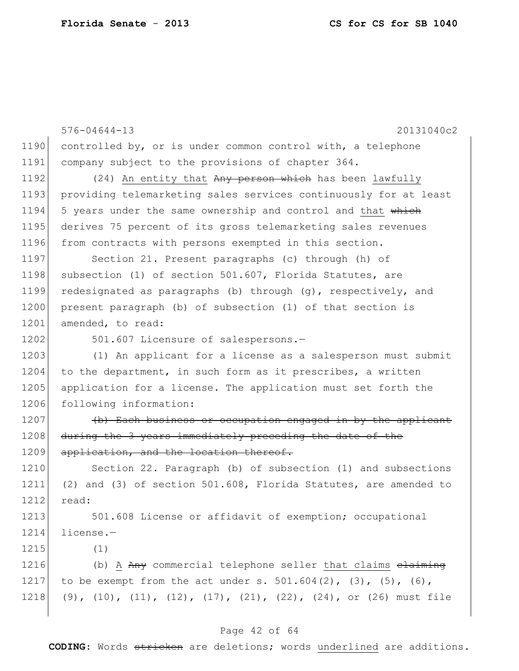```
576-04644-13 20131040c2
1190 controlled by, or is under common control with, a telephone
1191 company subject to the provisions of chapter 364.
1192 (24) An entity that Any person which has been lawfully
1193 providing telemarketing sales services continuously for at least
1194 5 years under the same ownership and control and that which
1195 derives 75 percent of its gross telemarketing sales revenues 
1196 from contracts with persons exempted in this section.
1197 Section 21. Present paragraphs (c) through (h) of
1198 subsection (1) of section 501.607, Florida Statutes, are
1199 redesignated as paragraphs (b) through (g), respectively, and 
1200 present paragraph (b) of subsection (1) of that section is
1201 amended, to read:
1202 501.607 Licensure of salespersons.-
1203 (1) An applicant for a license as a salesperson must submit
1204 to the department, in such form as it prescribes, a written
1205 application for a license. The application must set forth the
1206 following information:
1207 (b) Each business or occupation engaged in by the applicant
1208 during the 3 years immediately preceding the date of the
1209 application, and the location thereof.
1210 Section 22. Paragraph (b) of subsection (1) and subsections
1211 (2) and (3) of section 501.608, Florida Statutes, are amended to 
1212 read:
1213 501.608 License or affidavit of exemption; occupational
1214 license.—
1215 (1)
1216 (b) A Any commercial telephone seller that claims elaiming
1217 to be exempt from the act under s. 501.604(2), (3), (5), (6),
1218 (9), (10), (11), (12), (17), (21), (22), (24), or (26) must file
```
#### Page 42 of 64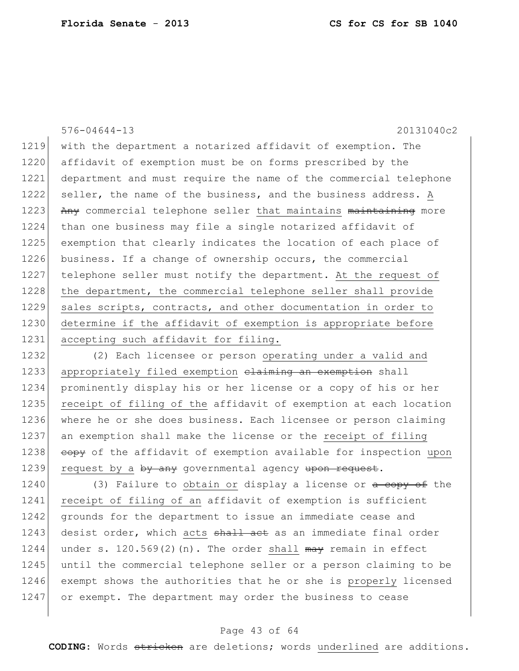576-04644-13 20131040c2 1219 with the department a notarized affidavit of exemption. The 1220 affidavit of exemption must be on forms prescribed by the 1221 department and must require the name of the commercial telephone 1222 seller, the name of the business, and the business address. A  $1223$  Any commercial telephone seller that maintains maintaining more 1224 than one business may file a single notarized affidavit of 1225 exemption that clearly indicates the location of each place of 1226 business. If a change of ownership occurs, the commercial 1227 telephone seller must notify the department. At the request of 1228 the department, the commercial telephone seller shall provide 1229 sales scripts, contracts, and other documentation in order to 1230 determine if the affidavit of exemption is appropriate before 1231 accepting such affidavit for filing.

 (2) Each licensee or person operating under a valid and 1233 appropriately filed exemption claiming an exemption shall prominently display his or her license or a copy of his or her 1235 receipt of filing of the affidavit of exemption at each location where he or she does business. Each licensee or person claiming an exemption shall make the license or the receipt of filing  $\epsilon$  copy of the affidavit of exemption available for inspection upon 1239 request by a  $\frac{b}{b}$  any governmental agency upon request.

1240 (3) Failure to obtain or display a license or  $\alpha$  copy of the 1241 receipt of filing of an affidavit of exemption is sufficient 1242 grounds for the department to issue an immediate cease and 1243 desist order, which acts shall act as an immediate final order 1244 under s. 120.569(2)(n). The order shall  $m$ ay remain in effect 1245 until the commercial telephone seller or a person claiming to be 1246 exempt shows the authorities that he or she is properly licensed 1247 or exempt. The department may order the business to cease

### Page 43 of 64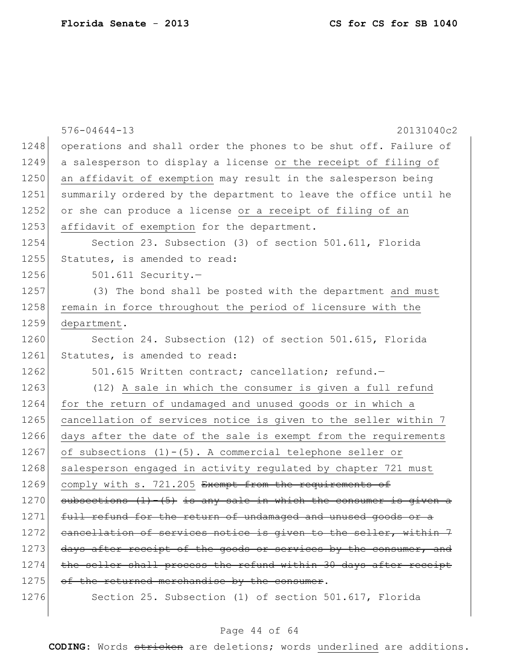|      | 20131040c2<br>$576 - 04644 - 13$                                   |
|------|--------------------------------------------------------------------|
| 1248 | operations and shall order the phones to be shut off. Failure of   |
| 1249 | a salesperson to display a license or the receipt of filing of     |
| 1250 | an affidavit of exemption may result in the salesperson being      |
| 1251 | summarily ordered by the department to leave the office until he   |
| 1252 | or she can produce a license or a receipt of filing of an          |
| 1253 | affidavit of exemption for the department.                         |
| 1254 | Section 23. Subsection (3) of section 501.611, Florida             |
| 1255 | Statutes, is amended to read:                                      |
| 1256 | $501.611$ Security.-                                               |
| 1257 | (3) The bond shall be posted with the department and must          |
| 1258 | remain in force throughout the period of licensure with the        |
| 1259 | department.                                                        |
| 1260 | Section 24. Subsection (12) of section 501.615, Florida            |
| 1261 | Statutes, is amended to read:                                      |
| 1262 | 501.615 Written contract; cancellation; refund.-                   |
| 1263 | (12) A sale in which the consumer is given a full refund           |
| 1264 | for the return of undamaged and unused goods or in which a         |
| 1265 | cancellation of services notice is given to the seller within 7    |
| 1266 | days after the date of the sale is exempt from the requirements    |
| 1267 | of subsections (1)-(5). A commercial telephone seller or           |
| 1268 | salesperson engaged in activity regulated by chapter 721 must      |
| 1269 | comply with s. 721.205 Exempt from the requirements of             |
| 1270 | subsections $(1) - (5)$ is any sale in which the consumer is given |
| 1271 | full refund for the return of undamaged and unused goods or a      |
| 1272 | cancellation of services notice is given to the seller, within 7   |
| 1273 | days after receipt of the goods or services by the consumer, and   |
| 1274 | the seller shall process the refund within 30 days after receipt   |
| 1275 | of the returned merchandise by the consumer.                       |
| 1276 | Section 25. Subsection (1) of section 501.617, Florida             |

# Page 44 of 64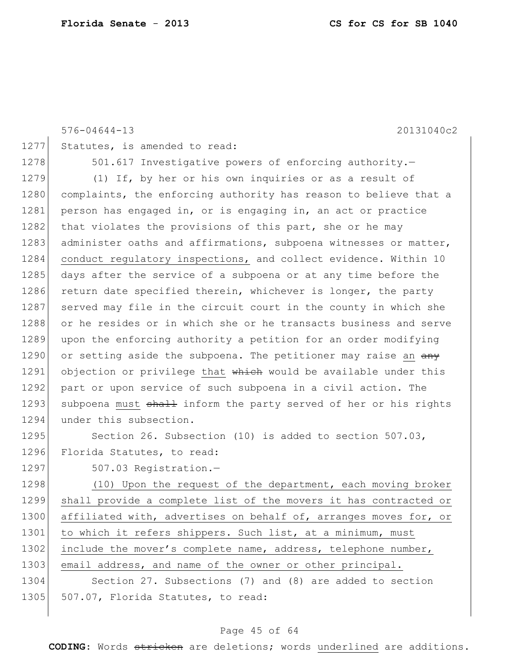|      | 20131040c2<br>$576 - 04644 - 13$                                 |
|------|------------------------------------------------------------------|
| 1277 | Statutes, is amended to read:                                    |
| 1278 | 501.617 Investigative powers of enforcing authority.-            |
| 1279 | (1) If, by her or his own inquiries or as a result of            |
| 1280 | complaints, the enforcing authority has reason to believe that a |
| 1281 | person has engaged in, or is engaging in, an act or practice     |
| 1282 | that violates the provisions of this part, she or he may         |
| 1283 | administer oaths and affirmations, subpoena witnesses or matter, |
| 1284 | conduct regulatory inspections, and collect evidence. Within 10  |
| 1285 | days after the service of a subpoena or at any time before the   |
| 1286 | return date specified therein, whichever is longer, the party    |
| 1287 | served may file in the circuit court in the county in which she  |
| 1288 | or he resides or in which she or he transacts business and serve |
| 1289 | upon the enforcing authority a petition for an order modifying   |
| 1290 | or setting aside the subpoena. The petitioner may raise an any   |
| 1291 | objection or privilege that which would be available under this  |
| 1292 | part or upon service of such subpoena in a civil action. The     |
| 1293 | subpoena must shall inform the party served of her or his rights |
| 1294 | under this subsection.                                           |
| 1295 | Section 26. Subsection (10) is added to section 507.03,          |
| 1296 | Florida Statutes, to read:                                       |
| 1297 | 507.03 Registration.-                                            |
| 1298 | (10) Upon the request of the department, each moving broker      |
|      |                                                                  |

1299 shall provide a complete list of the movers it has contracted or 1300 affiliated with, advertises on behalf of, arranges moves for, or 1301 to which it refers shippers. Such list, at a minimum, must 1302 include the mover's complete name, address, telephone number, 1303 email address, and name of the owner or other principal. 1304 Section 27. Subsections (7) and (8) are added to section

1305 507.07, Florida Statutes, to read:

### Page 45 of 64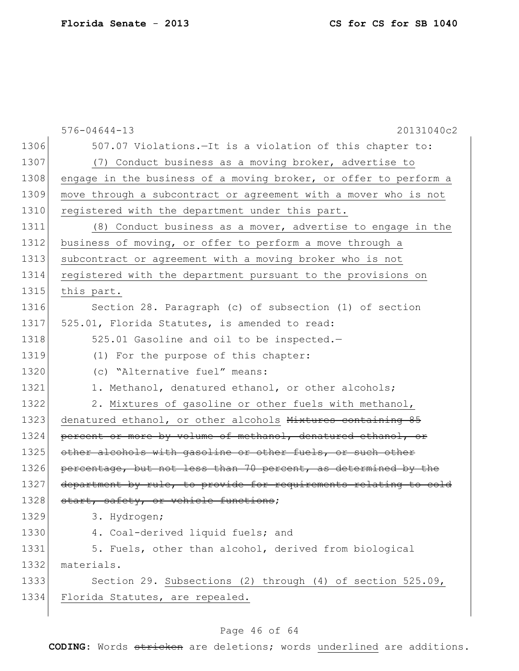|      | $576 - 04644 - 13$<br>20131040c2                                 |
|------|------------------------------------------------------------------|
| 1306 | 507.07 Violations. - It is a violation of this chapter to:       |
| 1307 | (7) Conduct business as a moving broker, advertise to            |
| 1308 | engage in the business of a moving broker, or offer to perform a |
| 1309 | move through a subcontract or agreement with a mover who is not  |
| 1310 | registered with the department under this part.                  |
| 1311 | (8) Conduct business as a mover, advertise to engage in the      |
| 1312 | business of moving, or offer to perform a move through a         |
| 1313 | subcontract or agreement with a moving broker who is not         |
| 1314 | registered with the department pursuant to the provisions on     |
| 1315 | this part.                                                       |
| 1316 | Section 28. Paragraph (c) of subsection (1) of section           |
| 1317 | 525.01, Florida Statutes, is amended to read:                    |
| 1318 | 525.01 Gasoline and oil to be inspected.-                        |
| 1319 | (1) For the purpose of this chapter:                             |
| 1320 | (c) "Alternative fuel" means:                                    |
| 1321 | 1. Methanol, denatured ethanol, or other alcohols;               |
| 1322 | 2. Mixtures of gasoline or other fuels with methanol,            |
| 1323 | denatured ethanol, or other alcohols Mixtures containing 85      |
| 1324 | percent or more by volume of methanol, denatured ethanol, or     |
| 1325 | other alcohols with gasoline or other fuels, or such other       |
| 1326 | percentage, but not less than 70 percent, as determined by the   |
| 1327 | department by rule, to provide for requirements relating to cold |
| 1328 | start, safety, or vehicle functions;                             |
| 1329 | 3. Hydrogen;                                                     |
| 1330 | 4. Coal-derived liquid fuels; and                                |
| 1331 | 5. Fuels, other than alcohol, derived from biological            |
| 1332 | materials.                                                       |
| 1333 | Section 29. Subsections (2) through (4) of section 525.09,       |
| 1334 | Florida Statutes, are repealed.                                  |
|      |                                                                  |

# Page 46 of 64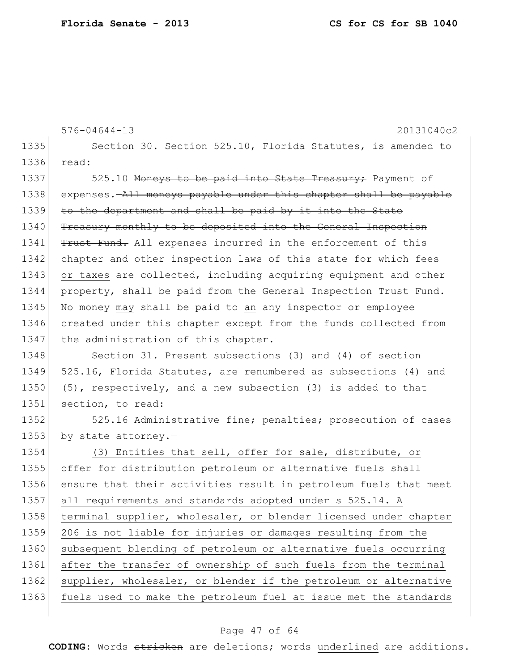|      | $576 - 04644 - 13$<br>20131040c2                                   |
|------|--------------------------------------------------------------------|
| 1335 | Section 30. Section 525.10, Florida Statutes, is amended to        |
| 1336 | read:                                                              |
| 1337 | 525.10 Moneys to be paid into State Treasury; Payment of           |
| 1338 | expenses. - All moneys payable under this chapter shall be payable |
| 1339 | to the department and shall be paid by it into the State           |
| 1340 | Treasury monthly to be deposited into the General Inspection       |
| 1341 | Trust Fund. All expenses incurred in the enforcement of this       |
| 1342 | chapter and other inspection laws of this state for which fees     |
| 1343 | or taxes are collected, including acquiring equipment and other    |
| 1344 | property, shall be paid from the General Inspection Trust Fund.    |
| 1345 | No money may shall be paid to an any inspector or employee         |
| 1346 | created under this chapter except from the funds collected from    |
| 1347 | the administration of this chapter.                                |
| 1348 | Section 31. Present subsections (3) and (4) of section             |
| 1349 | 525.16, Florida Statutes, are renumbered as subsections (4) and    |
| 1350 | (5), respectively, and a new subsection (3) is added to that       |
| 1351 | section, to read:                                                  |
| 1352 | 525.16 Administrative fine; penalties; prosecution of cases        |
| 1353 | by state attorney.-                                                |
| 1354 | (3) Entities that sell, offer for sale, distribute, or             |
| 1355 | offer for distribution petroleum or alternative fuels shall        |
| 1356 | ensure that their activities result in petroleum fuels that meet   |
| 1357 | all requirements and standards adopted under s 525.14. A           |
| 1358 | terminal supplier, wholesaler, or blender licensed under chapter   |
| 1359 | 206 is not liable for injuries or damages resulting from the       |
| 1360 | subsequent blending of petroleum or alternative fuels occurring    |
| 1361 | after the transfer of ownership of such fuels from the terminal    |
| 1362 | supplier, wholesaler, or blender if the petroleum or alternative   |
| 1363 | fuels used to make the petroleum fuel at issue met the standards   |
|      |                                                                    |

# Page 47 of 64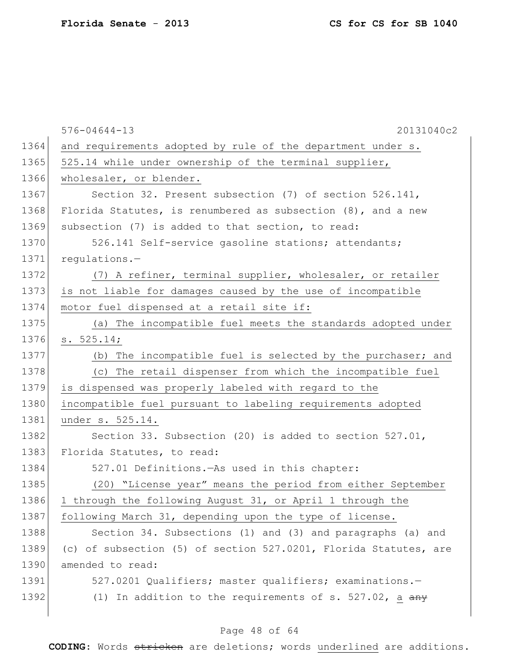|      | $576 - 04644 - 13$<br>20131040c2                                    |
|------|---------------------------------------------------------------------|
| 1364 | and requirements adopted by rule of the department under s.         |
| 1365 | 525.14 while under ownership of the terminal supplier,              |
| 1366 | wholesaler, or blender.                                             |
| 1367 | Section 32. Present subsection (7) of section 526.141,              |
| 1368 | Florida Statutes, is renumbered as subsection $(8)$ , and a new     |
| 1369 | subsection (7) is added to that section, to read:                   |
| 1370 | 526.141 Self-service gasoline stations; attendants;                 |
| 1371 | $requletions.$ -                                                    |
| 1372 | (7) A refiner, terminal supplier, wholesaler, or retailer           |
| 1373 | is not liable for damages caused by the use of incompatible         |
| 1374 | motor fuel dispensed at a retail site if:                           |
| 1375 | (a) The incompatible fuel meets the standards adopted under         |
| 1376 | s. 525.14;                                                          |
| 1377 | (b) The incompatible fuel is selected by the purchaser; and         |
| 1378 | (c) The retail dispenser from which the incompatible fuel           |
| 1379 | is dispensed was properly labeled with regard to the                |
| 1380 | incompatible fuel pursuant to labeling requirements adopted         |
| 1381 | under s. 525.14.                                                    |
| 1382 | Section 33. Subsection (20) is added to section 527.01,             |
| 1383 | Florida Statutes, to read:                                          |
| 1384 | 527.01 Definitions. - As used in this chapter:                      |
| 1385 | (20) "License year" means the period from either September          |
| 1386 | 1 through the following August 31, or April 1 through the           |
| 1387 | following March 31, depending upon the type of license.             |
| 1388 | Section 34. Subsections (1) and (3) and paragraphs (a) and          |
| 1389 | (c) of subsection (5) of section 527.0201, Florida Statutes, are    |
| 1390 | amended to read:                                                    |
| 1391 | 527.0201 Qualifiers; master qualifiers; examinations.-              |
| 1392 | (1) In addition to the requirements of s. 527.02, a $\frac{any}{x}$ |

# Page 48 of 64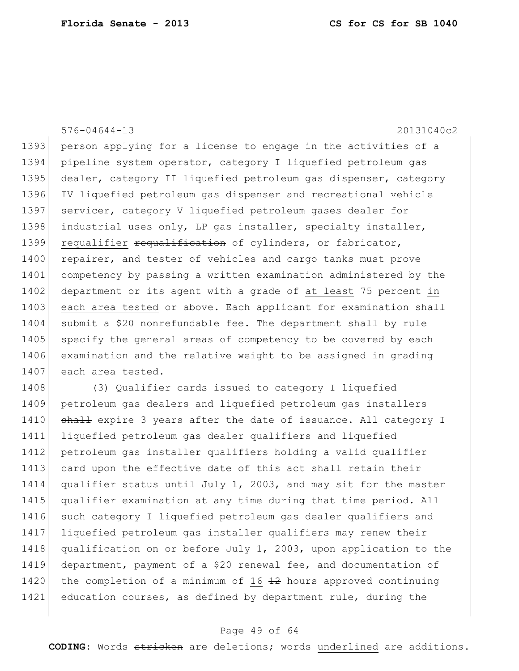576-04644-13 20131040c2 1393 person applying for a license to engage in the activities of a 1394 pipeline system operator, category I liquefied petroleum gas 1395 dealer, category II liquefied petroleum gas dispenser, category 1396 IV liquefied petroleum gas dispenser and recreational vehicle 1397 servicer, category V liquefied petroleum gases dealer for 1398 industrial uses only, LP gas installer, specialty installer, 1399 requalifier requalification of cylinders, or fabricator, 1400 repairer, and tester of vehicles and cargo tanks must prove 1401 competency by passing a written examination administered by the 1402 department or its agent with a grade of at least 75 percent in 1403 each area tested or above. Each applicant for examination shall 1404 submit a \$20 nonrefundable fee. The department shall by rule 1405 specify the general areas of competency to be covered by each 1406 examination and the relative weight to be assigned in grading 1407 each area tested.

1408 (3) Qualifier cards issued to category I liquefied 1409 petroleum gas dealers and liquefied petroleum gas installers 1410 shall expire 3 years after the date of issuance. All category I 1411 liquefied petroleum gas dealer qualifiers and liquefied 1412 petroleum gas installer qualifiers holding a valid qualifier 1413 card upon the effective date of this act shall retain their 1414 qualifier status until July 1, 2003, and may sit for the master 1415 qualifier examination at any time during that time period. All 1416 such category I liquefied petroleum gas dealer qualifiers and 1417 liquefied petroleum gas installer qualifiers may renew their 1418 qualification on or before July 1, 2003, upon application to the 1419 department, payment of a \$20 renewal fee, and documentation of 1420 the completion of a minimum of 16  $\frac{12}{12}$  hours approved continuing 1421 education courses, as defined by department rule, during the

### Page 49 of 64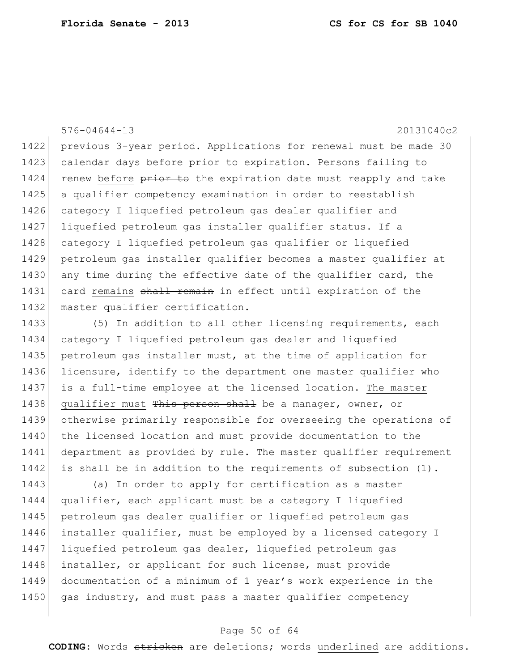576-04644-13 20131040c2 1422 previous 3-year period. Applications for renewal must be made 30 1423 calendar days before prior to expiration. Persons failing to 1424 renew before prior to the expiration date must reapply and take 1425 a qualifier competency examination in order to reestablish 1426 category I liquefied petroleum gas dealer qualifier and 1427 liquefied petroleum gas installer qualifier status. If a 1428 category I liquefied petroleum gas qualifier or liquefied 1429 petroleum gas installer qualifier becomes a master qualifier at 1430 any time during the effective date of the qualifier card, the 1431 card remains shall remain in effect until expiration of the 1432 master qualifier certification.

1433 (5) In addition to all other licensing requirements, each 1434 category I liquefied petroleum gas dealer and liquefied 1435 petroleum gas installer must, at the time of application for 1436 licensure, identify to the department one master qualifier who 1437 is a full-time employee at the licensed location. The master 1438 qualifier must This person shall be a manager, owner, or 1439 otherwise primarily responsible for overseeing the operations of 1440 the licensed location and must provide documentation to the 1441 department as provided by rule. The master qualifier requirement 1442 is shall be in addition to the requirements of subsection  $(1)$ .

1443 (a) In order to apply for certification as a master 1444 qualifier, each applicant must be a category I liquefied 1445 petroleum gas dealer qualifier or liquefied petroleum gas 1446 installer qualifier, must be employed by a licensed category I 1447 liquefied petroleum gas dealer, liquefied petroleum gas 1448 installer, or applicant for such license, must provide 1449 documentation of a minimum of 1 year's work experience in the 1450 gas industry, and must pass a master qualifier competency

### Page 50 of 64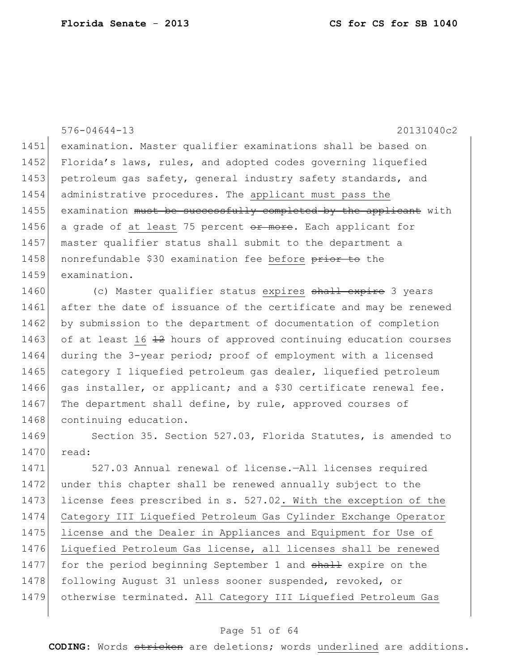|      | $576 - 04644 - 13$<br>20131040c2                                 |
|------|------------------------------------------------------------------|
| 1451 | examination. Master qualifier examinations shall be based on     |
| 1452 | Florida's laws, rules, and adopted codes governing liquefied     |
| 1453 | petroleum gas safety, general industry safety standards, and     |
| 1454 | administrative procedures. The applicant must pass the           |
| 1455 | examination must be successfully completed by the applicant with |
| 1456 | a grade of at least 75 percent or more. Each applicant for       |
| 1457 | master qualifier status shall submit to the department a         |
| 1458 | nonrefundable \$30 examination fee before prior to the           |
| 1459 | examination.                                                     |
| 1460 | (c) Master qualifier status expires shall expire 3 years         |
| 1461 | after the date of issuance of the certificate and may be renewed |
| 1462 | by submission to the department of documentation of completion   |
| 1463 | of at least 16 42 hours of approved continuing education courses |
| 1464 | during the 3-year period; proof of employment with a licensed    |
| 1465 | category I liquefied petroleum gas dealer, liquefied petroleum   |
| 1466 | gas installer, or applicant; and a \$30 certificate renewal fee. |
| 1467 | The department shall define, by rule, approved courses of        |
| 1468 | continuing education.                                            |
| 1469 | Section 35. Section 527.03, Florida Statutes, is amended to      |
| 1470 | read:                                                            |
| 1471 | 527.03 Annual renewal of license.-All licenses required          |
| 1472 | under this chapter shall be renewed annually subject to the      |
| 1473 | license fees prescribed in s. 527.02. With the exception of the  |
| 1474 | Category III Liquefied Petroleum Gas Cylinder Exchange Operator  |
| 1475 | license and the Dealer in Appliances and Equipment for Use of    |
| 1476 | Liquefied Petroleum Gas license, all licenses shall be renewed   |
| 1477 | for the period beginning September 1 and shall expire on the     |
| 1478 | following August 31 unless sooner suspended, revoked, or         |
| 1479 | otherwise terminated. All Category III Liquefied Petroleum Gas   |

# Page 51 of 64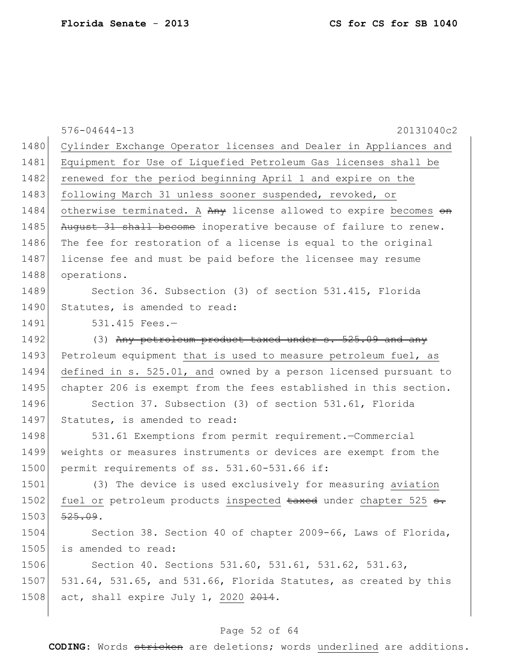|      | $576 - 04644 - 13$<br>20131040c2                                 |
|------|------------------------------------------------------------------|
| 1480 | Cylinder Exchange Operator licenses and Dealer in Appliances and |
| 1481 | Equipment for Use of Liquefied Petroleum Gas licenses shall be   |
| 1482 | renewed for the period beginning April 1 and expire on the       |
| 1483 | following March 31 unless sooner suspended, revoked, or          |
| 1484 | otherwise terminated. A Any license allowed to expire becomes on |
| 1485 | August 31 shall become inoperative because of failure to renew.  |
| 1486 | The fee for restoration of a license is equal to the original    |
| 1487 | license fee and must be paid before the licensee may resume      |
| 1488 | operations.                                                      |
| 1489 | Section 36. Subsection (3) of section 531.415, Florida           |
| 1490 | Statutes, is amended to read:                                    |
| 1491 | $531.415$ Fees.-                                                 |
| 1492 | (3) Any petroleum product taxed under s. 525.09 and any          |
| 1493 | Petroleum equipment that is used to measure petroleum fuel, as   |
| 1494 | defined in s. 525.01, and owned by a person licensed pursuant to |
| 1495 | chapter 206 is exempt from the fees established in this section. |
| 1496 | Section 37. Subsection (3) of section 531.61, Florida            |
| 1497 | Statutes, is amended to read:                                    |
| 1498 | 531.61 Exemptions from permit requirement.-Commercial            |
| 1499 | weights or measures instruments or devices are exempt from the   |
| 1500 | permit requirements of ss. 531.60-531.66 if:                     |
| 1501 | (3) The device is used exclusively for measuring aviation        |
| 1502 | fuel or petroleum products inspected taxed under chapter 525 s.  |
| 1503 | 525.09.                                                          |
| 1504 | Section 38. Section 40 of chapter 2009-66, Laws of Florida,      |
| 1505 | is amended to read:                                              |
| 1506 | Section 40. Sections 531.60, 531.61, 531.62, 531.63,             |
| 1507 | 531.64, 531.65, and 531.66, Florida Statutes, as created by this |
| 1508 | act, shall expire July 1, 2020 2014.                             |
|      |                                                                  |

# Page 52 of 64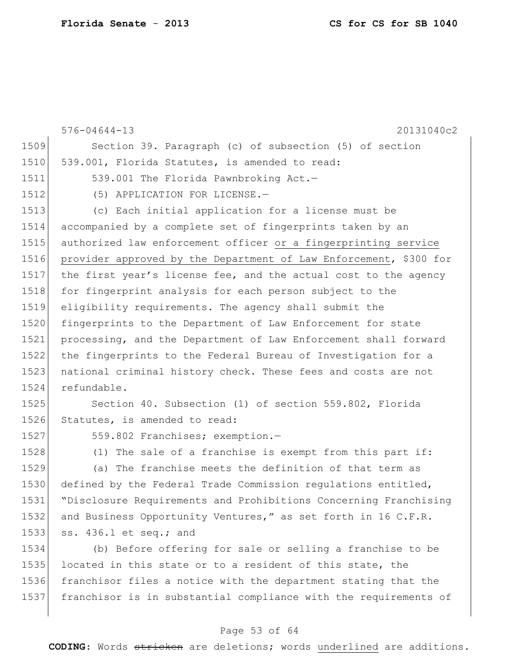|      | 20131040c2<br>$576 - 04644 - 13$                                  |
|------|-------------------------------------------------------------------|
| 1509 | Section 39. Paragraph (c) of subsection (5) of section            |
| 1510 | 539.001, Florida Statutes, is amended to read:                    |
| 1511 | 539.001 The Florida Pawnbroking Act.-                             |
| 1512 | (5) APPLICATION FOR LICENSE.-                                     |
| 1513 | (c) Each initial application for a license must be                |
| 1514 | accompanied by a complete set of fingerprints taken by an         |
| 1515 | authorized law enforcement officer or a fingerprinting service    |
| 1516 | provider approved by the Department of Law Enforcement, \$300 for |
| 1517 | the first year's license fee, and the actual cost to the agency   |
| 1518 | for fingerprint analysis for each person subject to the           |
| 1519 | eligibility requirements. The agency shall submit the             |
| 1520 | fingerprints to the Department of Law Enforcement for state       |
| 1521 | processing, and the Department of Law Enforcement shall forward   |
| 1522 | the fingerprints to the Federal Bureau of Investigation for a     |
| 1523 | national criminal history check. These fees and costs are not     |
| 1524 | refundable.                                                       |
| 1525 | Section 40. Subsection (1) of section 559.802, Florida            |
| 1526 | Statutes, is amended to read:                                     |
| 1527 | 559.802 Franchises; exemption.-                                   |
| 1528 | (1) The sale of a franchise is exempt from this part if:          |
| 1529 | (a) The franchise meets the definition of that term as            |
| 1530 | defined by the Federal Trade Commission regulations entitled,     |
| 1531 | "Disclosure Requirements and Prohibitions Concerning Franchising  |
| 1532 | and Business Opportunity Ventures," as set forth in 16 C.F.R.     |
| 1533 | ss. 436.1 et seq.; and                                            |
| 1534 | (b) Before offering for sale or selling a franchise to be         |
| 1535 | located in this state or to a resident of this state, the         |
| 1536 | franchisor files a notice with the department stating that the    |
| 1537 | franchisor is in substantial compliance with the requirements of  |

# Page 53 of 64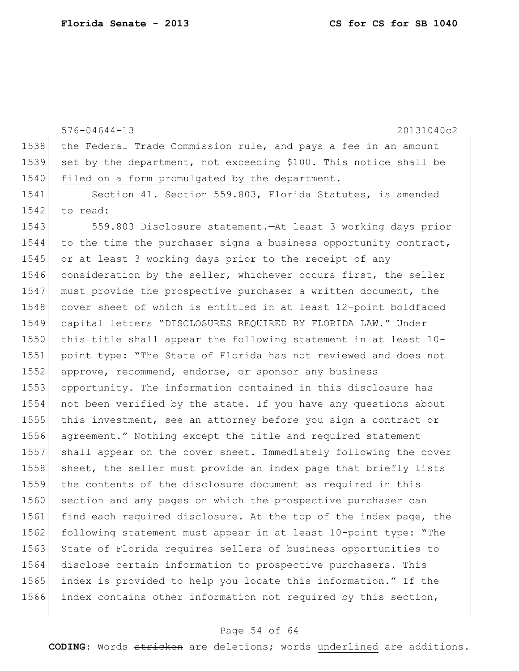576-04644-13 20131040c2 1538 the Federal Trade Commission rule, and pays a fee in an amount 1539 set by the department, not exceeding \$100. This notice shall be 1540 filed on a form promulgated by the department. 1541 Section 41. Section 559.803, Florida Statutes, is amended  $1542$  to read: 1543 559.803 Disclosure statement.—At least 3 working days prior  $1544$  to the time the purchaser signs a business opportunity contract,

1545 or at least 3 working days prior to the receipt of any 1546 consideration by the seller, whichever occurs first, the seller 1547 must provide the prospective purchaser a written document, the 1548 cover sheet of which is entitled in at least 12-point boldfaced 1549 capital letters "DISCLOSURES REQUIRED BY FLORIDA LAW." Under 1550 this title shall appear the following statement in at least 10- 1551 point type: "The State of Florida has not reviewed and does not 1552 approve, recommend, endorse, or sponsor any business 1553 opportunity. The information contained in this disclosure has 1554 not been verified by the state. If you have any questions about 1555 this investment, see an attorney before you sign a contract or 1556 agreement." Nothing except the title and required statement 1557 shall appear on the cover sheet. Immediately following the cover 1558 sheet, the seller must provide an index page that briefly lists 1559 the contents of the disclosure document as required in this 1560 section and any pages on which the prospective purchaser can 1561 find each required disclosure. At the top of the index page, the 1562 following statement must appear in at least 10-point type: "The 1563 State of Florida requires sellers of business opportunities to 1564 disclose certain information to prospective purchasers. This 1565 index is provided to help you locate this information." If the 1566 index contains other information not required by this section,

#### Page 54 of 64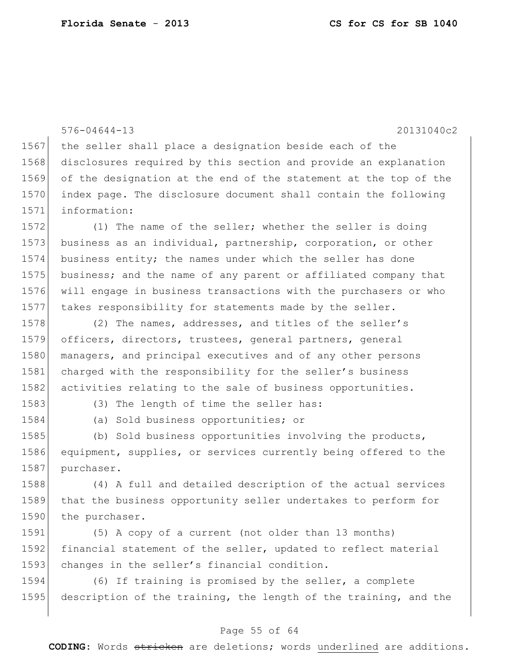576-04644-13 20131040c2 1567 the seller shall place a designation beside each of the 1568 disclosures required by this section and provide an explanation 1569 of the designation at the end of the statement at the top of the 1570 index page. The disclosure document shall contain the following 1571 information: 1572 (1) The name of the seller; whether the seller is doing 1573 business as an individual, partnership, corporation, or other 1574 business entity; the names under which the seller has done 1575 business; and the name of any parent or affiliated company that 1576 will engage in business transactions with the purchasers or who 1577 takes responsibility for statements made by the seller. 1578 (2) The names, addresses, and titles of the seller's 1579 officers, directors, trustees, general partners, general 1580 managers, and principal executives and of any other persons 1581 charged with the responsibility for the seller's business 1582 activities relating to the sale of business opportunities. 1583 (3) The length of time the seller has: 1584 (a) Sold business opportunities; or 1585 (b) Sold business opportunities involving the products,

1586 equipment, supplies, or services currently being offered to the 1587 purchaser.

1588 (4) A full and detailed description of the actual services 1589 that the business opportunity seller undertakes to perform for 1590 the purchaser.

1591 (5) A copy of a current (not older than 13 months) 1592 financial statement of the seller, updated to reflect material 1593 changes in the seller's financial condition.

1594 (6) If training is promised by the seller, a complete 1595 description of the training, the length of the training, and the

### Page 55 of 64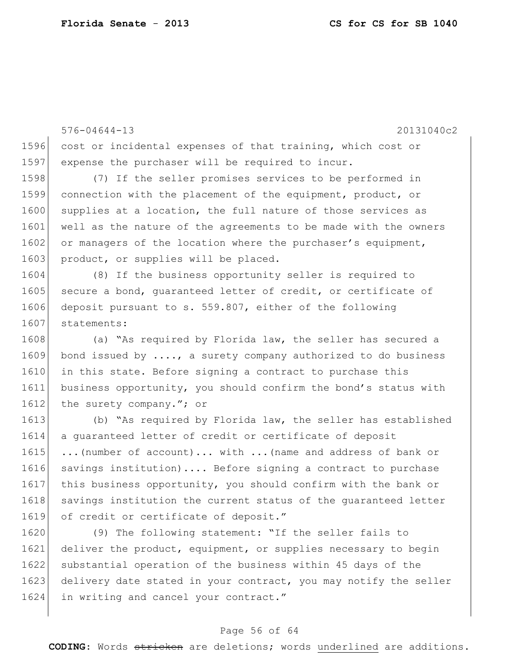576-04644-13 20131040c2 1596 cost or incidental expenses of that training, which cost or 1597 expense the purchaser will be required to incur. 1598 (7) If the seller promises services to be performed in 1599 connection with the placement of the equipment, product, or 1600 supplies at a location, the full nature of those services as 1601 well as the nature of the agreements to be made with the owners 1602 or managers of the location where the purchaser's equipment, 1603 product, or supplies will be placed. 1604 (8) If the business opportunity seller is required to 1605 secure a bond, quaranteed letter of credit, or certificate of 1606 deposit pursuant to s. 559.807, either of the following 1607 statements: 1608 (a) "As required by Florida law, the seller has secured a  $1609$  bond issued by ...., a surety company authorized to do business 1610 in this state. Before signing a contract to purchase this 1611 business opportunity, you should confirm the bond's status with 1612 the surety company."; or 1613 (b) "As required by Florida law, the seller has established 1614 a quaranteed letter of credit or certificate of deposit 1615 ...(number of account)... with ...(name and address of bank or 1616 savings institution).... Before signing a contract to purchase 1617 this business opportunity, you should confirm with the bank or 1618 savings institution the current status of the quaranteed letter 1619 of credit or certificate of deposit." 1620 (9) The following statement: "If the seller fails to 1621 deliver the product, equipment, or supplies necessary to begin

1622 substantial operation of the business within 45 days of the 1623 delivery date stated in your contract, you may notify the seller 1624 in writing and cancel your contract."

### Page 56 of 64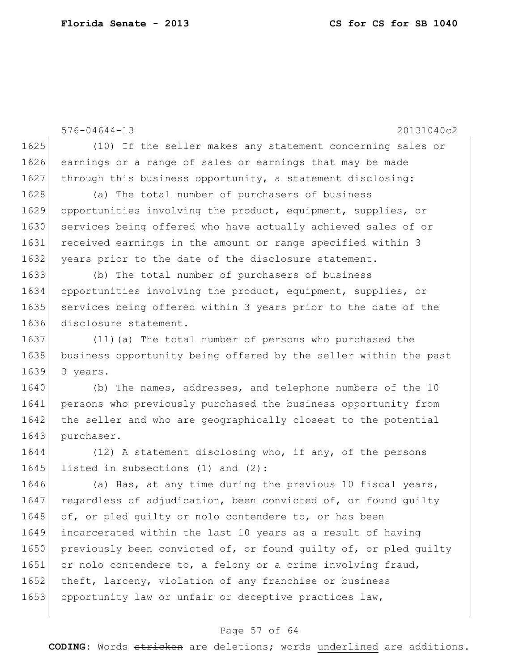576-04644-13 20131040c2 1625 (10) If the seller makes any statement concerning sales or 1626 earnings or a range of sales or earnings that may be made 1627 through this business opportunity, a statement disclosing: 1628 (a) The total number of purchasers of business 1629 opportunities involving the product, equipment, supplies, or 1630 services being offered who have actually achieved sales of or 1631 received earnings in the amount or range specified within 3 1632 | years prior to the date of the disclosure statement. 1633 (b) The total number of purchasers of business 1634 opportunities involving the product, equipment, supplies, or 1635 services being offered within 3 years prior to the date of the 1636 disclosure statement. 1637 (11) (a) The total number of persons who purchased the 1638 business opportunity being offered by the seller within the past 1639 3 years. 1640 (b) The names, addresses, and telephone numbers of the 10 1641 persons who previously purchased the business opportunity from 1642 the seller and who are geographically closest to the potential 1643 purchaser. 1644 (12) A statement disclosing who, if any, of the persons 1645 listed in subsections (1) and (2): 1646 (a) Has, at any time during the previous 10 fiscal years, 1647 regardless of adjudication, been convicted of, or found quilty 1648 of, or pled quilty or nolo contendere to, or has been 1649 incarcerated within the last 10 years as a result of having 1650 previously been convicted of, or found guilty of, or pled guilty 1651 or nolo contendere to, a felony or a crime involving fraud, 1652 theft, larceny, violation of any franchise or business 1653 opportunity law or unfair or deceptive practices law,

#### Page 57 of 64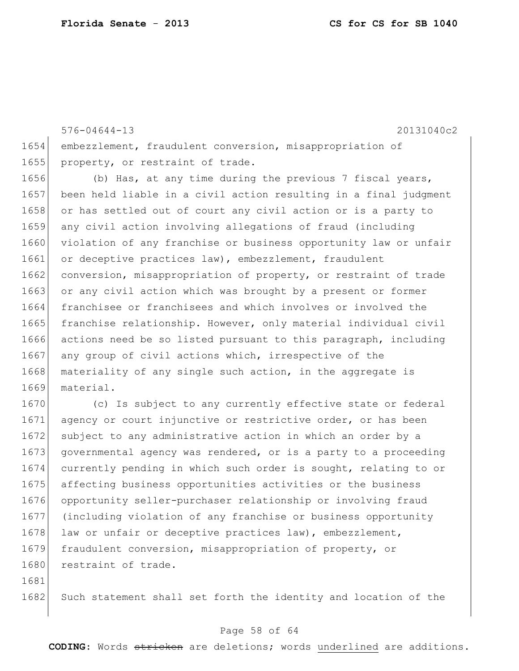576-04644-13 20131040c2 1654 embezzlement, fraudulent conversion, misappropriation of 1655 property, or restraint of trade. 1656 (b) Has, at any time during the previous 7 fiscal years, 1657 been held liable in a civil action resulting in a final judgment 1658 or has settled out of court any civil action or is a party to 1659 any civil action involving allegations of fraud (including 1660 violation of any franchise or business opportunity law or unfair 1661 or deceptive practices law), embezzlement, fraudulent 1662 conversion, misappropriation of property, or restraint of trade 1663 or any civil action which was brought by a present or former 1664 franchisee or franchisees and which involves or involved the 1665 franchise relationship. However, only material individual civil 1666 actions need be so listed pursuant to this paragraph, including 1667 any group of civil actions which, irrespective of the 1668 materiality of any single such action, in the aggregate is 1669 material. 1670 (c) Is subject to any currently effective state or federal 1671 agency or court injunctive or restrictive order, or has been 1672 subject to any administrative action in which an order by a 1673 governmental agency was rendered, or is a party to a proceeding 1674 currently pending in which such order is sought, relating to or 1675 affecting business opportunities activities or the business 1676 opportunity seller-purchaser relationship or involving fraud 1677 (including violation of any franchise or business opportunity

1678 law or unfair or deceptive practices law), embezzlement, 1679 fraudulent conversion, misappropriation of property, or 1680 restraint of trade.

1681

1682 Such statement shall set forth the identity and location of the

### Page 58 of 64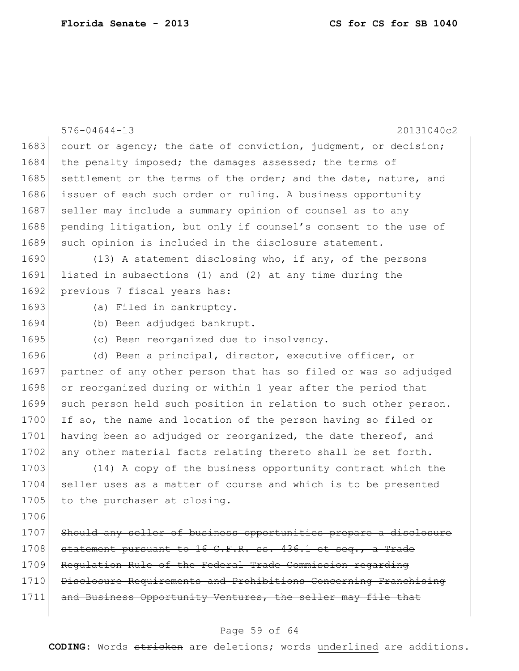|      | $576 - 04644 - 13$<br>20131040c2                                 |
|------|------------------------------------------------------------------|
| 1683 | court or agency; the date of conviction, judgment, or decision;  |
| 1684 | the penalty imposed; the damages assessed; the terms of          |
| 1685 | settlement or the terms of the order; and the date, nature, and  |
| 1686 | issuer of each such order or ruling. A business opportunity      |
| 1687 | seller may include a summary opinion of counsel as to any        |
| 1688 | pending litigation, but only if counsel's consent to the use of  |
| 1689 | such opinion is included in the disclosure statement.            |
| 1690 | (13) A statement disclosing who, if any, of the persons          |
| 1691 | listed in subsections (1) and (2) at any time during the         |
| 1692 | previous 7 fiscal years has:                                     |
| 1693 | (a) Filed in bankruptcy.                                         |
| 1694 | (b) Been adjudged bankrupt.                                      |
| 1695 | (c) Been reorganized due to insolvency.                          |
| 1696 | (d) Been a principal, director, executive officer, or            |
| 1697 | partner of any other person that has so filed or was so adjudged |
| 1698 | or reorganized during or within 1 year after the period that     |
| 1699 | such person held such position in relation to such other person. |
| 1700 | If so, the name and location of the person having so filed or    |
| 1701 | having been so adjudged or reorganized, the date thereof, and    |
| 1702 | any other material facts relating thereto shall be set forth.    |
| 1703 | (14) A copy of the business opportunity contract which the       |
| 1704 | seller uses as a matter of course and which is to be presented   |
| 1705 | to the purchaser at closing.                                     |
| 1706 |                                                                  |
| 1707 | Should any seller of business opportunities prepare a disclosure |
| 1708 | statement pursuant to 16 C.F.R. ss. 436.1 et seq., a Trade       |
| 1709 | Requlation Rule of the Federal Trade Commission regarding        |
| 1710 | Disclosure Requirements and Prohibitions Concerning Franchising  |
| 1711 | and Business Opportunity Ventures, the seller may file that      |
|      |                                                                  |

# Page 59 of 64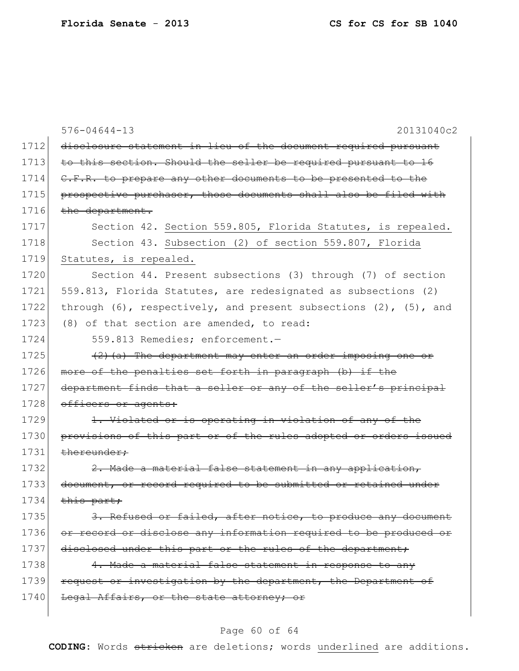|      | $576 - 04644 - 13$<br>20131040c2                                          |
|------|---------------------------------------------------------------------------|
| 1712 | disclosure statement in lieu of the document required pursuant            |
| 1713 | to this section. Should the seller be required pursuant to 16             |
| 1714 | C.F.R. to prepare any other documents to be presented to the              |
| 1715 | prospective purchaser, those documents shall also be filed with           |
| 1716 | the department.                                                           |
| 1717 | Section 42. Section 559.805, Florida Statutes, is repealed.               |
| 1718 | Section 43. Subsection (2) of section 559.807, Florida                    |
| 1719 | Statutes, is repealed.                                                    |
| 1720 | Section 44. Present subsections (3) through (7) of section                |
| 1721 | 559.813, Florida Statutes, are redesignated as subsections (2)            |
| 1722 | through $(6)$ , respectively, and present subsections $(2)$ , $(5)$ , and |
| 1723 | (8) of that section are amended, to read:                                 |
| 1724 | 559.813 Remedies; enforcement.-                                           |
| 1725 | $(2)$ (a) The department may enter an order imposing one or               |
| 1726 | more of the penalties set forth in paragraph (b) if the                   |
| 1727 | department finds that a seller or any of the seller's principal           |
| 1728 | officers or agents:                                                       |
| 1729 | 1. Violated or is operating in violation of any of the                    |
| 1730 | provisions of this part or of the rules adopted or orders issued          |
| 1731 | thereunder:                                                               |
| 1732 | 2. Made a material false statement in any application,                    |
| 1733 | document, or record required to be submitted or retained under            |
| 1734 | this part;                                                                |
| 1735 | 3. Refused or failed, after notice, to produce any document               |
| 1736 | or record or disclose any information required to be produced or          |
| 1737 | disclosed under this part or the rules of the department,                 |
| 1738 | 4. Made a material false statement in response to any                     |
| 1739 | request or investigation by the department, the Department of             |
| 1740 | Legal Affairs, or the state attorney; or                                  |
|      |                                                                           |

# Page 60 of 64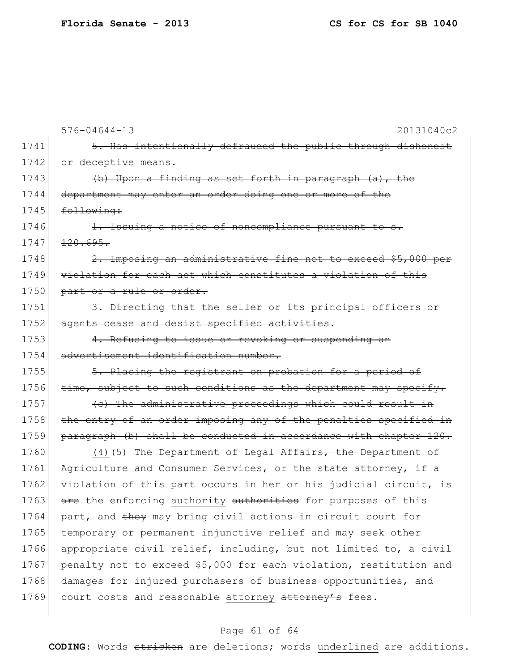|      | $576 - 04644 - 13$<br>20131040c2                                  |
|------|-------------------------------------------------------------------|
| 1741 | 5. Has intentionally defrauded the public through dishonest       |
| 1742 | or deceptive means.                                               |
| 1743 | (b) Upon a finding as set forth in paragraph (a), the             |
| 1744 | department may enter an order doing one or more of the            |
| 1745 | following:                                                        |
| 1746 | 1. Issuing a notice of noncompliance pursuant to s.               |
| 1747 | 120.695.                                                          |
| 1748 | 2. Imposing an administrative fine not to exceed \$5,000 per      |
| 1749 | violation for each act which constitutes a violation of this      |
| 1750 | part or a rule or order.                                          |
| 1751 | 3. Directing that the seller or its principal officers or         |
| 1752 | agents cease and desist specified activities.                     |
| 1753 | 4. Refusing to issue or revoking or suspending an                 |
| 1754 | advertisement identification number.                              |
| 1755 | 5. Placing the registrant on probation for a period of            |
| 1756 | time, subject to such conditions as the department may specify.   |
| 1757 | (c) The administrative proceedings which could result in          |
| 1758 | the entry of an order imposing any of the penalties specified in  |
| 1759 | paragraph (b) shall be conducted in accordance with chapter 120.  |
| 1760 | $(4)$ $(5)$ The Department of Legal Affairs, the Department of    |
| 1761 | Agriculture and Consumer Services, or the state attorney, if a    |
| 1762 | violation of this part occurs in her or his judicial circuit, is  |
| 1763 | are the enforcing authority authorities for purposes of this      |
| 1764 | part, and they may bring civil actions in circuit court for       |
| 1765 | temporary or permanent injunctive relief and may seek other       |
| 1766 | appropriate civil relief, including, but not limited to, a civil  |
| 1767 | penalty not to exceed \$5,000 for each violation, restitution and |
| 1768 | damages for injured purchasers of business opportunities, and     |
| 1769 | court costs and reasonable attorney attorney's fees.              |

# Page 61 of 64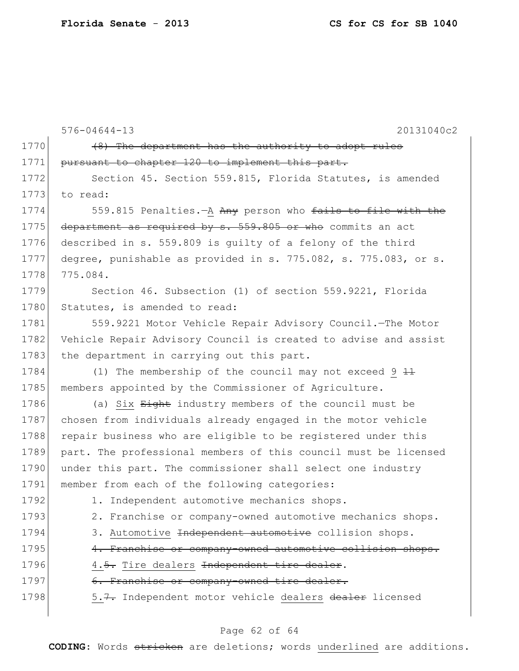|      | $576 - 04644 - 13$<br>20131040c2                                 |
|------|------------------------------------------------------------------|
| 1770 | (8) The department has the authority to adopt rules              |
| 1771 | pursuant to chapter 120 to implement this part.                  |
| 1772 | Section 45. Section 559.815, Florida Statutes, is amended        |
| 1773 | to read:                                                         |
| 1774 | 559.815 Penalties. A Any person who fails to file with the       |
| 1775 | department as required by s. 559.805 or who commits an act       |
| 1776 | described in s. 559.809 is quilty of a felony of the third       |
| 1777 | degree, punishable as provided in s. 775.082, s. 775.083, or s.  |
| 1778 | 775.084.                                                         |
| 1779 | Section 46. Subsection (1) of section 559.9221, Florida          |
| 1780 | Statutes, is amended to read:                                    |
| 1781 | 559.9221 Motor Vehicle Repair Advisory Council. - The Motor      |
| 1782 | Vehicle Repair Advisory Council is created to advise and assist  |
| 1783 | the department in carrying out this part.                        |
| 1784 | (1) The membership of the council may not exceed $9+1$           |
| 1785 | members appointed by the Commissioner of Agriculture.            |
| 1786 | (a) Six Eight industry members of the council must be            |
| 1787 | chosen from individuals already engaged in the motor vehicle     |
| 1788 | repair business who are eligible to be registered under this     |
| 1789 | part. The professional members of this council must be licensed  |
| 1790 | under this part. The commissioner shall select one industry      |
| 1791 | member from each of the following categories:                    |
| 1792 | 1. Independent automotive mechanics shops.                       |
| 1793 | 2. Franchise or company-owned automotive mechanics shops.        |
| 1794 | 3. Automotive <del>Independent automotive</del> collision shops. |
| 1795 | 4. Franchise or company-owned automotive collision shops.        |
| 1796 | 4.5. Tire dealers Independent tire dealer.                       |
| 1797 | 6. Franchise or company-owned tire dealer.                       |
| 1798 | 5.7. Independent motor vehicle dealers dealer licensed           |

# Page 62 of 64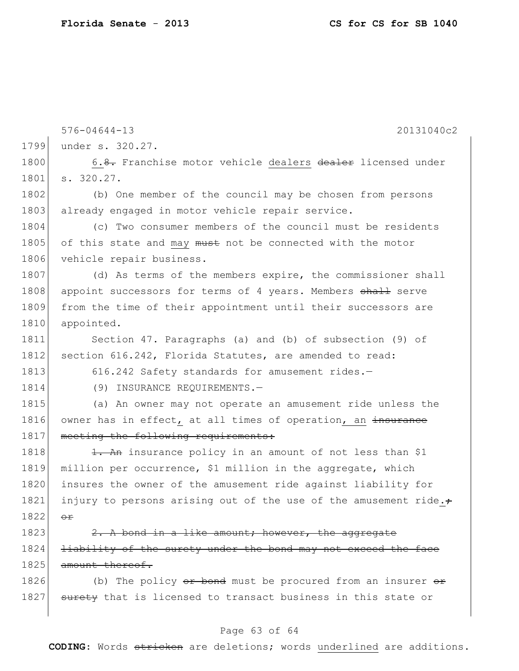|      | $576 - 04644 - 13$<br>20131040c2                                 |
|------|------------------------------------------------------------------|
| 1799 | under s. 320.27.                                                 |
| 1800 | 6.8. Franchise motor vehicle dealers dealer licensed under       |
| 1801 | s. 320.27.                                                       |
| 1802 | (b) One member of the council may be chosen from persons         |
| 1803 | already engaged in motor vehicle repair service.                 |
| 1804 | (c) Two consumer members of the council must be residents        |
| 1805 | of this state and may must not be connected with the motor       |
| 1806 | vehicle repair business.                                         |
| 1807 | (d) As terms of the members expire, the commissioner shall       |
| 1808 | appoint successors for terms of 4 years. Members shall serve     |
| 1809 | from the time of their appointment until their successors are    |
| 1810 | appointed.                                                       |
| 1811 | Section 47. Paragraphs (a) and (b) of subsection (9) of          |
| 1812 | section 616.242, Florida Statutes, are amended to read:          |
| 1813 | 616.242 Safety standards for amusement rides.-                   |
| 1814 | (9) INSURANCE REQUIREMENTS.-                                     |
| 1815 | (a) An owner may not operate an amusement ride unless the        |
| 1816 | owner has in effect, at all times of operation, an insurance     |
| 1817 | meeting the following requirements:                              |
| 1818 | 1. An insurance policy in an amount of not less than \$1         |
| 1819 | million per occurrence, \$1 million in the aggregate, which      |
| 1820 | insures the owner of the amusement ride against liability for    |
| 1821 | injury to persons arising out of the use of the amusement ride.+ |
| 1822 | $\Theta$ $\Upsilon$                                              |
| 1823 | 2. A bond in a like amount; however, the aggregate               |
| 1824 | liability of the surety under the bond may not exceed the face   |
| 1825 | amount thereof.                                                  |
| 1826 | (b) The policy or bond must be procured from an insurer or       |
| 1827 | surety that is licensed to transact business in this state or    |
|      |                                                                  |

# Page 63 of 64